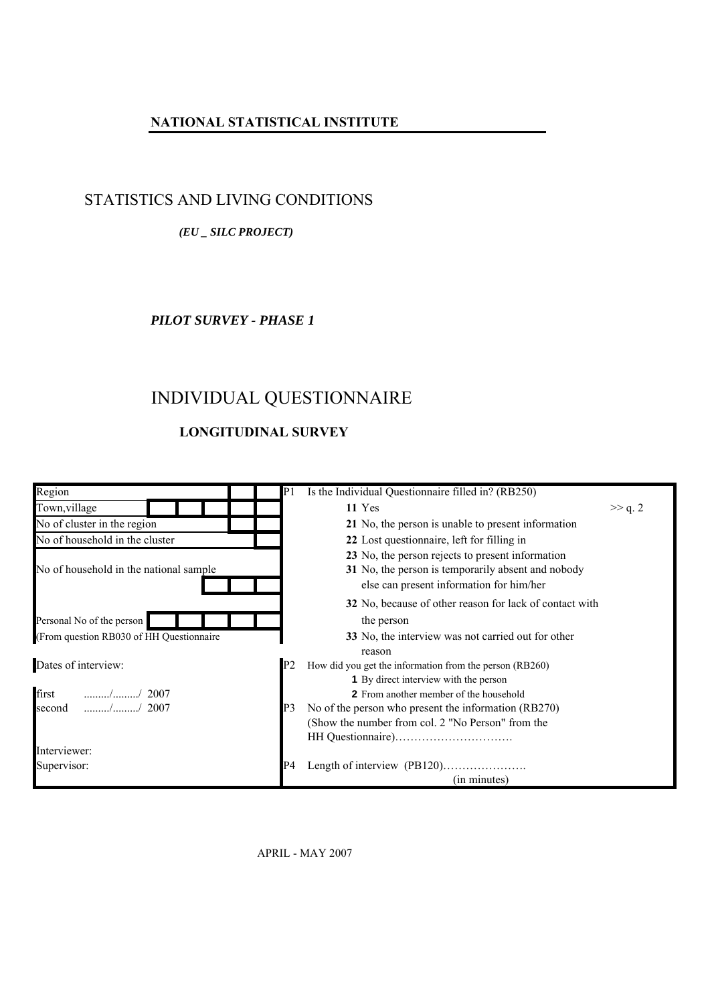### **NATIONAL STATISTICAL INSTITUTE**

### STATISTICS AND LIVING CONDITIONS

### *(EU \_ SILC PROJECT)*

*PILOT SURVEY - PHASE 1*

## INDIVIDUAL QUESTIONNAIRE

### **LONGITUDINAL SURVEY**



APRIL - MAY 2007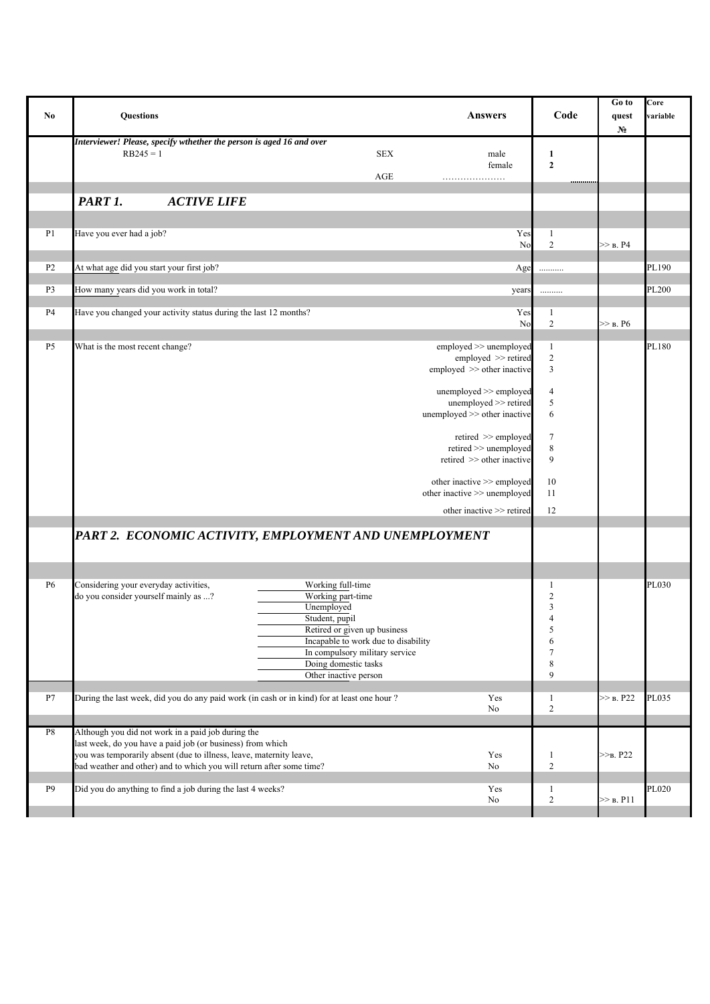| No             | <b>Questions</b><br><b>Answers</b>                                                                                                                                                                                                                                                                                                                                                                                                        | Code                                                                                          | Go to<br>quest<br>$N_2$ | Core<br>variable |
|----------------|-------------------------------------------------------------------------------------------------------------------------------------------------------------------------------------------------------------------------------------------------------------------------------------------------------------------------------------------------------------------------------------------------------------------------------------------|-----------------------------------------------------------------------------------------------|-------------------------|------------------|
|                | Interviewer! Please, specify wthether the person is aged 16 and over<br><b>SEX</b><br>$RB245 = 1$<br>male<br>female<br>$\rm{AGE}$                                                                                                                                                                                                                                                                                                         | 1<br>$\boldsymbol{2}$<br>.                                                                    |                         |                  |
|                | PART 1.<br><b>ACTIVE LIFE</b>                                                                                                                                                                                                                                                                                                                                                                                                             |                                                                                               |                         |                  |
|                |                                                                                                                                                                                                                                                                                                                                                                                                                                           |                                                                                               |                         |                  |
| P1             | Yes<br>Have you ever had a job?<br>No                                                                                                                                                                                                                                                                                                                                                                                                     | 1<br>$\sqrt{2}$                                                                               | $>>$ B. P4              |                  |
| P <sub>2</sub> | At what age did you start your first job?<br>Age                                                                                                                                                                                                                                                                                                                                                                                          | .                                                                                             |                         | PL190            |
| P <sub>3</sub> | How many years did you work in total?<br>years                                                                                                                                                                                                                                                                                                                                                                                            | .                                                                                             |                         | PL200            |
| P <sub>4</sub> | Have you changed your activity status during the last 12 months?<br>Yes<br>No                                                                                                                                                                                                                                                                                                                                                             | 1<br>$\overline{2}$                                                                           | $>>$ B. P6              |                  |
| P <sub>5</sub> | What is the most recent change?<br>employed >> unemployed<br>employed >> retired<br>employed >> other inactive<br>unemployed >> employed<br>unemployed >> retired<br>unemployed >> other inactive<br>retired $\gg$ employed<br>$retired \gg$ unemployed<br>retired >> other inactive<br>other inactive >> employed<br>other inactive >> unemployed<br>other inactive >> retired<br>PART 2. ECONOMIC ACTIVITY, EMPLOYMENT AND UNEMPLOYMENT | $\mathbf{1}$<br>$\overline{2}$<br>3<br>4<br>5<br>6<br>7<br>$\,$ 8 $\,$<br>9<br>10<br>11<br>12 |                         | PL180            |
|                |                                                                                                                                                                                                                                                                                                                                                                                                                                           |                                                                                               |                         |                  |
| <b>P6</b>      | Considering your everyday activities,<br>Working full-time<br>do you consider yourself mainly as ?<br>Working part-time<br>Unemployed<br>Student, pupil<br>Retired or given up business<br>Incapable to work due to disability<br>In compulsory military service<br>Doing domestic tasks<br>Other inactive person                                                                                                                         | 1<br>$\overline{c}$<br>3<br>$\overline{4}$<br>5<br>6<br>$\tau$<br>8<br>9                      |                         | PL030            |
| P7             | During the last week, did you do any paid work (in cash or in kind) for at least one hour ?<br>Yes<br>No                                                                                                                                                                                                                                                                                                                                  | $\mathbf{1}$<br>$\overline{2}$                                                                | >> B. P22               | PL035            |
| ${\bf P8}$     | Although you did not work in a paid job during the<br>last week, do you have a paid job (or business) from which<br>you was temporarily absent (due to illness, leave, maternity leave,<br>Yes<br>bad weather and other) and to which you will return after some time?<br>No                                                                                                                                                              | 1<br>$\overline{2}$                                                                           | $>>B$ . P22             |                  |
| P <sub>9</sub> | Did you do anything to find a job during the last 4 weeks?<br>Yes<br>No                                                                                                                                                                                                                                                                                                                                                                   | 1<br>$\mathbf{2}$                                                                             | >> B. P11               | PL020            |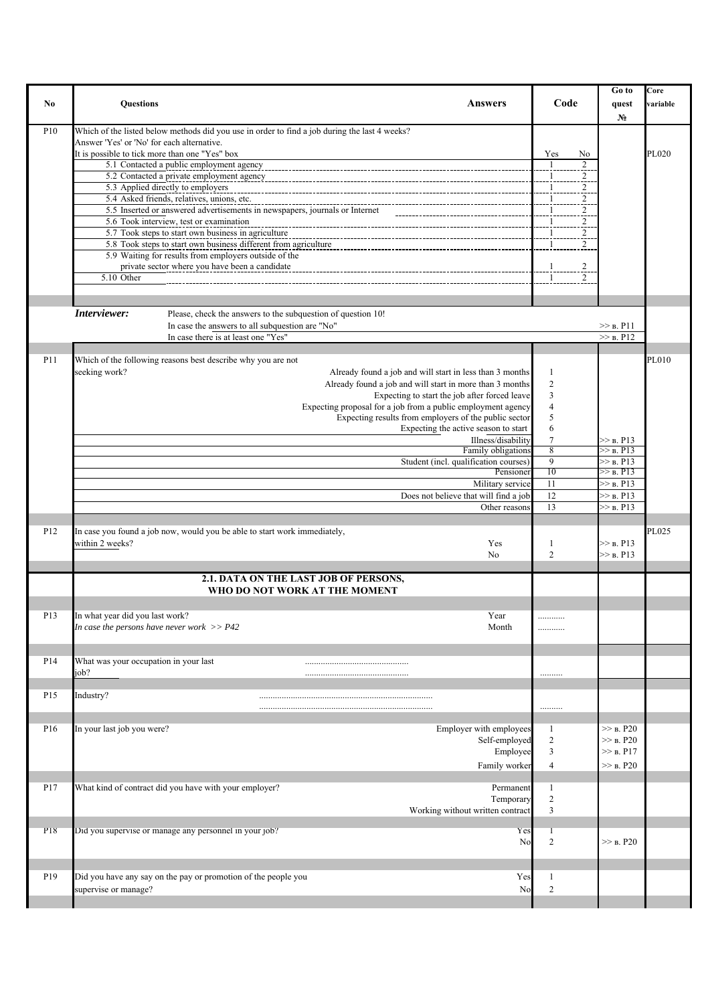| No              | <b>Ouestions</b><br><b>Answers</b>                                                                                                                                                                                                                                                                                                                                                                                                                                                                                                                                                     | Code                                                                                                                                 | Go to<br>quest<br>$N_2$                                                             | Core<br>variable |
|-----------------|----------------------------------------------------------------------------------------------------------------------------------------------------------------------------------------------------------------------------------------------------------------------------------------------------------------------------------------------------------------------------------------------------------------------------------------------------------------------------------------------------------------------------------------------------------------------------------------|--------------------------------------------------------------------------------------------------------------------------------------|-------------------------------------------------------------------------------------|------------------|
| P10             | Which of the listed below methods did you use in order to find a job during the last 4 weeks?<br>Answer 'Yes' or 'No' for each alternative.<br>It is possible to tick more than one "Yes" box<br>5.1 Contacted a public employment agency<br>5.2 Contacted a private employment agency<br>5.3 Applied directly to employers<br>5.4 Asked friends, relatives, unions, etc.<br>5.5 Inserted or answered advertisements in newspapers, journals or Internet                                                                                                                               | Yes<br>No<br>2<br>2<br>2<br>-1                                                                                                       |                                                                                     | PL020            |
|                 | 5.6 Took interview, test or examination<br>5.7 Took steps to start own business in agriculture<br>5.8 Took steps to start own business different from agriculture<br>5.9 Waiting for results from employers outside of the<br>private sector where you have been a candidate<br>5.10 Other                                                                                                                                                                                                                                                                                             | 2<br>$\overline{2}$<br>2<br>$\overline{c}$<br>$\mathbf{1}$<br>2                                                                      |                                                                                     |                  |
|                 | Interviewer:<br>Please, check the answers to the subquestion of question 10!<br>In case the answers to all subquestion are "No"<br>In case there is at least one "Yes"                                                                                                                                                                                                                                                                                                                                                                                                                 |                                                                                                                                      | >> B. P11<br>>> B. P12                                                              |                  |
| P11             | Which of the following reasons best describe why you are not<br>seeking work?<br>Already found a job and will start in less than 3 months<br>Already found a job and will start in more than 3 months<br>Expecting to start the job after forced leave<br>Expecting proposal for a job from a public employment agency<br>Expecting results from employers of the public sector<br>Expecting the active season to start<br>Illness/disability<br>Family obligations<br>Student (incl. qualification courses)<br>Pensioner<br>Military service<br>Does not believe that will find a job | -1<br>$\overline{2}$<br>$\overline{\mathbf{3}}$<br>$\overline{4}$<br>5<br>6<br>$\overline{7}$<br>8<br>$\mathbf{Q}$<br>10<br>11<br>12 | $>>$ B. P13<br>>> B. P13<br>>> B. P13<br>$\gg$ B. P13<br>$>>$ B. P13<br>$>>$ B. P13 | PL010            |
| P12             | Other reasons<br>In case you found a job now, would you be able to start work immediately,<br>within 2 weeks?<br>Yes                                                                                                                                                                                                                                                                                                                                                                                                                                                                   | 13<br>-1                                                                                                                             | >> B. P13<br>$\gg$ B. P13                                                           | PL025            |
|                 | No<br>2.1. DATA ON THE LAST JOB OF PERSONS,<br>WHO DO NOT WORK AT THE MOMENT                                                                                                                                                                                                                                                                                                                                                                                                                                                                                                           | $\overline{2}$                                                                                                                       | $>>$ B. P13                                                                         |                  |
| P <sub>13</sub> | In what year did you last work?<br>Year<br>In case the persons have never work $>> P42$<br>Month                                                                                                                                                                                                                                                                                                                                                                                                                                                                                       | .<br>.                                                                                                                               |                                                                                     |                  |
| P14             | What was your occupation in your last<br>job?                                                                                                                                                                                                                                                                                                                                                                                                                                                                                                                                          |                                                                                                                                      |                                                                                     |                  |
| P15             | Industry?                                                                                                                                                                                                                                                                                                                                                                                                                                                                                                                                                                              | .                                                                                                                                    |                                                                                     |                  |
| P <sub>16</sub> | In your last job you were?<br>Employer with employees<br>Self-employed<br>Employee<br>Family worker                                                                                                                                                                                                                                                                                                                                                                                                                                                                                    | $\mathbf{1}$<br>$\overline{c}$<br>3<br>$\overline{4}$                                                                                | >> B. P20<br>>> B. P20<br>$>>$ B. P17<br>>> B. P20                                  |                  |
| P17             | What kind of contract did you have with your employer?<br>Permanent<br>Temporary<br>Working without written contract                                                                                                                                                                                                                                                                                                                                                                                                                                                                   | $\mathbf{1}$<br>$\overline{\mathbf{c}}$<br>$\overline{\mathbf{3}}$                                                                   |                                                                                     |                  |
| P <sub>18</sub> | Did you supervise or manage any personnel in your job?<br>Yes<br>No                                                                                                                                                                                                                                                                                                                                                                                                                                                                                                                    | $\overline{2}$                                                                                                                       | >> B. P20                                                                           |                  |
| P <sub>19</sub> | Did you have any say on the pay or promotion of the people you<br>Yes<br>supervise or manage?<br>No                                                                                                                                                                                                                                                                                                                                                                                                                                                                                    | $\mathbf{1}$<br>$\overline{c}$                                                                                                       |                                                                                     |                  |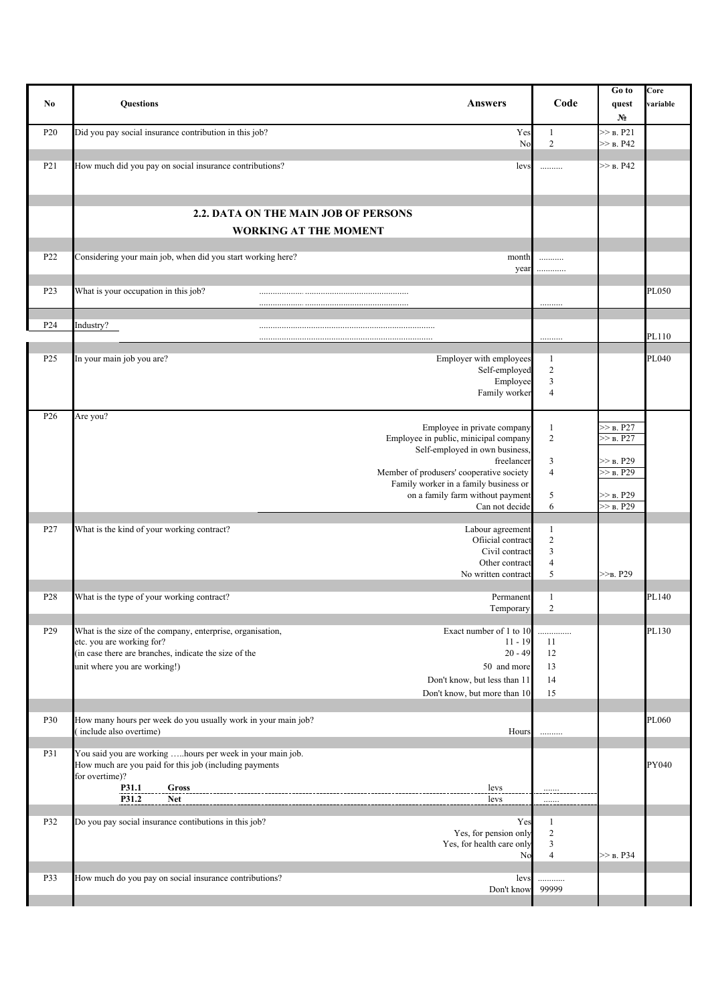| No               | <b>Ouestions</b><br><b>Answers</b>                                                                                                                                                                                                                                                                                   |           | Code                                                  | Go to<br>quest<br>$N_2$                                                        | Core<br>variable |
|------------------|----------------------------------------------------------------------------------------------------------------------------------------------------------------------------------------------------------------------------------------------------------------------------------------------------------------------|-----------|-------------------------------------------------------|--------------------------------------------------------------------------------|------------------|
| P <sub>20</sub>  | Did you pay social insurance contribution in this job?                                                                                                                                                                                                                                                               | Yes<br>No | 1<br>$\overline{2}$                                   | >> B. P21<br>$>>$ B. P42                                                       |                  |
| P <sub>2</sub> 1 | How much did you pay on social insurance contributions?                                                                                                                                                                                                                                                              | levs      | .                                                     | >> B. P42                                                                      |                  |
|                  | 2.2. DATA ON THE MAIN JOB OF PERSONS<br><b>WORKING AT THE MOMENT</b>                                                                                                                                                                                                                                                 |           |                                                       |                                                                                |                  |
|                  |                                                                                                                                                                                                                                                                                                                      |           |                                                       |                                                                                |                  |
| P <sub>22</sub>  | Considering your main job, when did you start working here?<br>month                                                                                                                                                                                                                                                 | year      | .<br>.                                                |                                                                                |                  |
| P <sub>23</sub>  | What is your occupation in this job?                                                                                                                                                                                                                                                                                 |           |                                                       |                                                                                | PL050            |
| P <sub>24</sub>  | Industry?                                                                                                                                                                                                                                                                                                            |           |                                                       |                                                                                | PL110            |
| P <sub>25</sub>  | Employer with employees<br>In your main job you are?<br>Self-employed<br>Employee<br>Family worker                                                                                                                                                                                                                   |           | 1<br>$\overline{c}$<br>3<br>$\overline{4}$            |                                                                                | PL040            |
| P <sub>26</sub>  | Are you?<br>Employee in private company<br>Employee in public, minicipal company<br>Self-employed in own business,<br>freelancer<br>Member of produsers' cooperative society<br>Family worker in a family business or<br>on a family farm without payment<br>Can not decide                                          |           | 1<br>$\overline{2}$<br>3<br>$\overline{4}$<br>5<br>6  | $>>$ B. P27<br>$>>$ B. P27<br>>> в. P29<br>>> B. P29<br>>> B. P29<br>>> B. P29 |                  |
| P <sub>27</sub>  | What is the kind of your working contract?<br>Labour agreement<br>Official contract<br>Civil contract<br>Other contract<br>No written contract                                                                                                                                                                       |           | 1<br>$\overline{2}$<br>3<br>$\overline{4}$<br>5       | $>>B$ , P29                                                                    |                  |
| P <sub>28</sub>  | What is the type of your working contract?<br>Permanent<br>Temporary                                                                                                                                                                                                                                                 |           | 1<br>$\overline{2}$                                   |                                                                                | PL140            |
| P <sub>29</sub>  | What is the size of the company, enterprise, organisation,<br>Exact number of 1 to 10<br>etc. you are working for?<br>$11 - 19$<br>(in case there are branches, indicate the size of the<br>$20 - 49$<br>unit where you are working!)<br>50 and more<br>Don't know, but less than 11<br>Don't know, but more than 10 |           | .<br>11<br>12<br>13<br>14<br>15                       |                                                                                | PL130            |
| P30              | How many hours per week do you usually work in your main job?<br>include also overtime)                                                                                                                                                                                                                              | Hours     | .                                                     |                                                                                | PL060            |
| P31              | You said you are working hours per week in your main job.<br>How much are you paid for this job (including payments<br>for overtime)?<br>P31.1<br>Gross<br>levs<br>P31.2<br><b>Net</b><br>levs                                                                                                                       |           | .                                                     |                                                                                | PY040            |
| P32              | Do you pay social insurance contibutions in this job?<br>Yes, for pension only<br>Yes, for health care only                                                                                                                                                                                                          | Yes<br>No | $\mathbf{1}$<br>$\overline{c}$<br>3<br>$\overline{4}$ | $>>$ B. P34                                                                    |                  |
| P33              | How much do you pay on social insurance contributions?<br>Don't know                                                                                                                                                                                                                                                 | levs      | .<br>99999                                            |                                                                                |                  |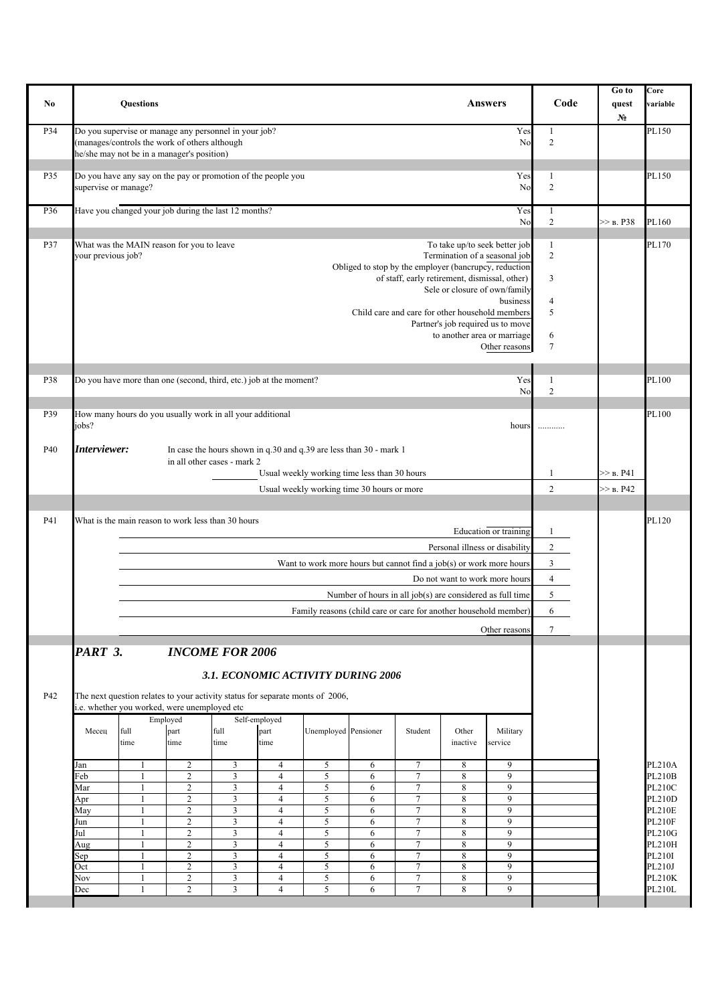| No  | <b>Questions</b>                                                                                                                                                                                                                                                                                                                               |                                                                                                                        |                                                                                                                            |                                                            |                                                                                            |                                                                                                  |                                                  | <b>Answers</b>                                                                                                                                                                                                                                                                                                     | Code                                                                   | Go to<br>quest<br>N <sub>2</sub> | Core<br>variable                                                                  |
|-----|------------------------------------------------------------------------------------------------------------------------------------------------------------------------------------------------------------------------------------------------------------------------------------------------------------------------------------------------|------------------------------------------------------------------------------------------------------------------------|----------------------------------------------------------------------------------------------------------------------------|------------------------------------------------------------|--------------------------------------------------------------------------------------------|--------------------------------------------------------------------------------------------------|--------------------------------------------------|--------------------------------------------------------------------------------------------------------------------------------------------------------------------------------------------------------------------------------------------------------------------------------------------------------------------|------------------------------------------------------------------------|----------------------------------|-----------------------------------------------------------------------------------|
| P34 | Do you supervise or manage any personnel in your job?<br>(manages/controls the work of others although<br>he/she may not be in a manager's position)                                                                                                                                                                                           |                                                                                                                        |                                                                                                                            |                                                            |                                                                                            |                                                                                                  |                                                  | Yes<br>No                                                                                                                                                                                                                                                                                                          | $\mathbf{1}$<br>$\overline{2}$                                         |                                  | PL150                                                                             |
| P35 | Do you have any say on the pay or promotion of the people you<br>supervise or manage?                                                                                                                                                                                                                                                          |                                                                                                                        |                                                                                                                            |                                                            |                                                                                            |                                                                                                  |                                                  | Yes<br>No                                                                                                                                                                                                                                                                                                          | $\mathbf{1}$<br>$\overline{2}$                                         |                                  | PL150                                                                             |
| P36 | Have you changed your job during the last 12 months?                                                                                                                                                                                                                                                                                           |                                                                                                                        |                                                                                                                            |                                                            |                                                                                            |                                                                                                  |                                                  | Yes<br>No                                                                                                                                                                                                                                                                                                          | 1<br>$\sqrt{2}$                                                        | $>>$ B. P38                      | PL160                                                                             |
| P37 | What was the MAIN reason for you to leave<br>your previous job?                                                                                                                                                                                                                                                                                |                                                                                                                        |                                                                                                                            |                                                            |                                                                                            | of staff, early retirement, dismissal, other)<br>Child care and care for other household members |                                                  | To take up/to seek better job<br>Termination of a seasonal job<br>Obliged to stop by the employer (bancrupcy, reduction<br>Sele or closure of own/family<br>business<br>Partner's job required us to move<br>to another area or marriage<br>Other reasons                                                          | $\mathbf{1}$<br>$\overline{2}$<br>3<br>4<br>5<br>6<br>$\tau$           |                                  | PL170                                                                             |
| P38 | Do you have more than one (second, third, etc.) job at the moment?                                                                                                                                                                                                                                                                             |                                                                                                                        |                                                                                                                            |                                                            |                                                                                            |                                                                                                  |                                                  | Yes<br>No                                                                                                                                                                                                                                                                                                          | $\mathbf{1}$<br>$\overline{2}$                                         |                                  | PL100                                                                             |
| P39 | How many hours do you usually work in all your additional<br>jobs?                                                                                                                                                                                                                                                                             |                                                                                                                        |                                                                                                                            |                                                            |                                                                                            |                                                                                                  |                                                  | hours                                                                                                                                                                                                                                                                                                              | .                                                                      |                                  | PL100                                                                             |
| P40 | Interviewer:                                                                                                                                                                                                                                                                                                                                   | In case the hours shown in q.30 and q.39 are less than 30 - mark 1<br>in all other cases - mark 2                      |                                                                                                                            |                                                            |                                                                                            |                                                                                                  |                                                  |                                                                                                                                                                                                                                                                                                                    |                                                                        |                                  |                                                                                   |
|     |                                                                                                                                                                                                                                                                                                                                                |                                                                                                                        |                                                                                                                            |                                                            | Usual weekly working time less than 30 hours<br>Usual weekly working time 30 hours or more |                                                                                                  |                                                  |                                                                                                                                                                                                                                                                                                                    | 1<br>$\overline{2}$                                                    | >> B. P41<br>$>>$ B. P42         |                                                                                   |
| P41 | What is the main reason to work less than 30 hours                                                                                                                                                                                                                                                                                             |                                                                                                                        |                                                                                                                            |                                                            |                                                                                            |                                                                                                  |                                                  | Education or training<br>Personal illness or disability<br>Want to work more hours but cannot find a job(s) or work more hours<br>Do not want to work more hours<br>Number of hours in all job(s) are considered as full time<br>Family reasons (child care or care for another household member)<br>Other reasons | 1<br>$\overline{c}$<br>$\overline{3}$<br>$\overline{4}$<br>5<br>6<br>7 |                                  | PL120                                                                             |
| P42 | PART 3.<br>The next question relates to your activity status for separate monts of 2006,<br>i.e. whether you worked, were unemployed etc<br>Employed<br>part<br>full<br>Месец<br>time<br>time<br>$\overline{2}$<br>Jan<br>1<br>$\overline{2}$<br>Feb<br>$\overline{c}$<br>Mar<br>1<br>$\overline{c}$<br>Apr<br>1<br>$\overline{c}$<br>May<br>1 | <b>INCOME FOR 2006</b><br>3.1. ECONOMIC ACTIVITY DURING 2006<br>Self-employed<br>full<br>time<br>3<br>3<br>3<br>3<br>3 | part<br>time<br>$\overline{4}$<br>$\overline{4}$<br>$\overline{4}$<br>$\overline{4}$<br>$\overline{4}$                     | Unemployed Pensioner<br>5<br>5<br>$\sqrt{5}$<br>5<br>5     | 6<br>6<br>6<br>6<br>6                                                                      | Student<br>7<br>$\overline{7}$<br>$\tau$<br>7<br>$\tau$                                          | Other<br>inactive<br>8<br>8<br>$\,8\,$<br>8<br>8 | Military<br>service<br>9<br>9<br>9<br>9<br>9                                                                                                                                                                                                                                                                       |                                                                        |                                  | <b>PL210A</b><br><b>PL210B</b><br><b>PL210C</b><br><b>PL210D</b><br><b>PL210E</b> |
|     | $\sqrt{2}$<br>Jun<br>1<br>$\overline{2}$<br>Jul<br>$\mathbf{1}$<br>$\sqrt{2}$<br>Aug<br>1<br>$\sqrt{2}$<br>Sep<br>$\overline{c}$<br>Oct<br>$\mathbf{1}$<br>$\overline{c}$<br>Nov<br>1<br>$\overline{2}$<br>Dec<br>1                                                                                                                            | 3<br>3<br>3<br>3<br>3<br>3<br>$\overline{3}$                                                                           | $\overline{4}$<br>$\overline{4}$<br>$\overline{4}$<br>$\overline{4}$<br>$\overline{4}$<br>$\overline{4}$<br>$\overline{4}$ | 5<br>5<br>$\sqrt{5}$<br>$\sqrt{5}$<br>5<br>$\sqrt{5}$<br>5 | 6<br>6<br>6<br>6<br>6<br>6<br>6                                                            | $\tau$<br>$\overline{7}$<br>$\tau$<br>$\tau$<br>$\tau$<br>$\tau$<br>$\overline{7}$               | 8<br>8<br>8<br>8<br>8<br>8<br>8                  | 9<br>9<br>9<br>9<br>9<br>9<br>$\overline{9}$                                                                                                                                                                                                                                                                       |                                                                        |                                  | <b>PL210F</b><br>PL210G<br>PL210H<br>PL210I<br>PL210J<br><b>PL210K</b><br>PL210L  |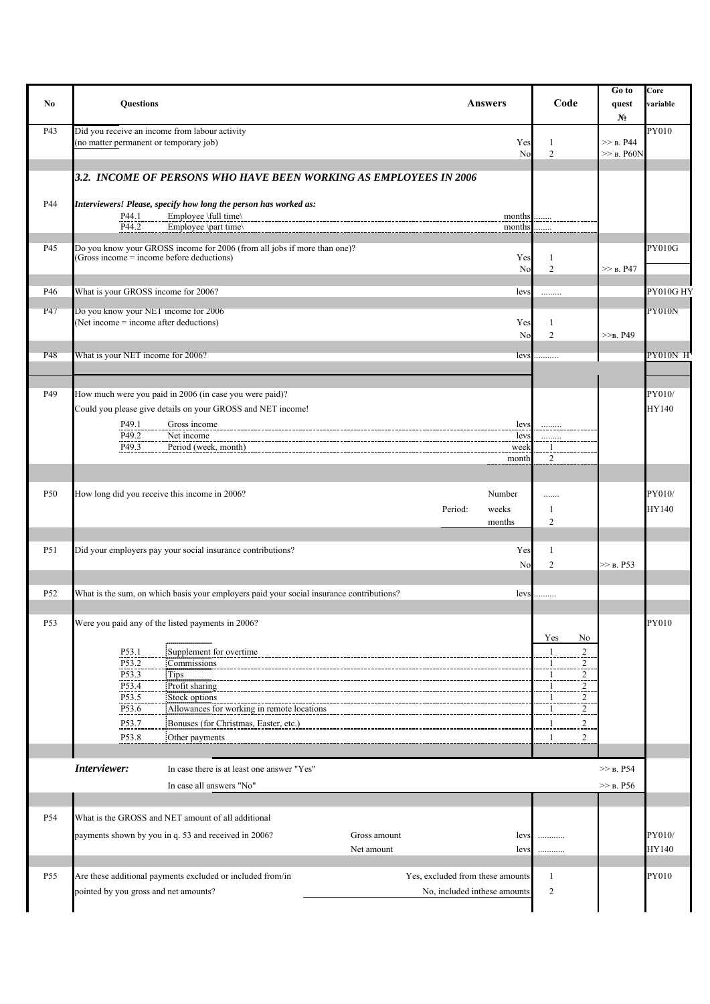| No              | <b>Questions</b>                                                                                                                                                                                                                                                                                                        | <b>Answers</b>                                                   | Code                                                                                                                       | Go to<br>quest<br>$N_2$     | Core<br>variable |
|-----------------|-------------------------------------------------------------------------------------------------------------------------------------------------------------------------------------------------------------------------------------------------------------------------------------------------------------------------|------------------------------------------------------------------|----------------------------------------------------------------------------------------------------------------------------|-----------------------------|------------------|
| P43             | Did you receive an income from labour activity<br>(no matter permanent or temporary job)                                                                                                                                                                                                                                | Yes<br>No                                                        | 1<br>$\overline{2}$                                                                                                        | $>>$ B. P44<br>$>>$ B. P60N | PY010            |
|                 | 3.2. INCOME OF PERSONS WHO HAVE BEEN WORKING AS EMPLOYEES IN 2006                                                                                                                                                                                                                                                       |                                                                  |                                                                                                                            |                             |                  |
| P44             | Interviewers! Please, specify how long the person has worked as:<br>Employee \full time\<br>P44.1<br>P44.2<br>Employee \part time\                                                                                                                                                                                      | months<br>months                                                 |                                                                                                                            |                             |                  |
| P45             | Do you know your GROSS income for 2006 (from all jobs if more than one)?<br>(Gross income = income before deductions)                                                                                                                                                                                                   | Yes<br>No                                                        | 1<br>$\overline{2}$                                                                                                        | >> B. P47                   | <b>PY010G</b>    |
| P46             | What is your GROSS income for 2006?                                                                                                                                                                                                                                                                                     | levs                                                             | .                                                                                                                          |                             | PY010G HY        |
| P47             | Do you know your NET income for 2006<br>Net income = income after deductions)                                                                                                                                                                                                                                           | Yes<br>No                                                        | 1<br>$\overline{2}$                                                                                                        | $>>B$ , P49                 | <b>PY010N</b>    |
| <b>P48</b>      | What is your NET income for 2006?                                                                                                                                                                                                                                                                                       | levs                                                             | .                                                                                                                          |                             | PY010N H         |
| P49             | How much were you paid in 2006 (in case you were paid)?<br>Could you please give details on your GROSS and NET income!<br>P49.1<br>Gross income<br>P49.2<br>Net income<br>P49.3<br>Period (week, month)                                                                                                                 | levs<br>levs<br>week<br>month                                    | $\overline{2}$                                                                                                             |                             | PY010/<br>HY140  |
| P <sub>50</sub> | How long did you receive this income in 2006?                                                                                                                                                                                                                                                                           | Number<br>Period:<br>weeks<br>months                             | .<br>1<br>$\overline{2}$                                                                                                   |                             | PY010/<br>HY140  |
| P51             | Did your employers pay your social insurance contributions?                                                                                                                                                                                                                                                             | Yes<br>No                                                        | 1<br>$\overline{2}$                                                                                                        | $>>$ B. P53                 |                  |
| P <sub>52</sub> | What is the sum, on which basis your employers paid your social insurance contributions?                                                                                                                                                                                                                                | levs                                                             | .                                                                                                                          |                             |                  |
| P53             | Were you paid any of the listed payments in 2006?<br>P53.1<br>Supplement for overtime<br>P53.2<br>Commissions<br>P53.3<br>Tips<br>P53.4<br>Profit sharing<br>P53.5<br>Stock options<br>P53.6<br>Allowances for working in remote locations<br>P53.7<br>Bonuses (for Christmas, Easter, etc.)<br>P53.8<br>Other payments |                                                                  | Yes<br>No.<br>$\overline{c}$<br>2<br>2<br>$\overline{\mathbf{c}}$<br>$\overline{c}$<br>$\overline{c}$<br>2<br>$\mathbf{1}$ |                             | PY010            |
|                 | Interviewer:<br>In case there is at least one answer "Yes"<br>In case all answers "No"                                                                                                                                                                                                                                  |                                                                  |                                                                                                                            | $>>$ B. P54<br>>> B. P56    |                  |
|                 |                                                                                                                                                                                                                                                                                                                         |                                                                  |                                                                                                                            |                             |                  |
| P54             | What is the GROSS and NET amount of all additional<br>Gross amount<br>payments shown by you in q. 53 and received in 2006?<br>Net amount                                                                                                                                                                                | levs<br>levs                                                     | <br>                                                                                                                       |                             | PY010/<br>HY140  |
| P <sub>55</sub> | Are these additional payments excluded or included from/in<br>pointed by you gross and net amounts?                                                                                                                                                                                                                     | Yes, excluded from these amounts<br>No, included inthese amounts | 1<br>$\overline{2}$                                                                                                        |                             | PY010            |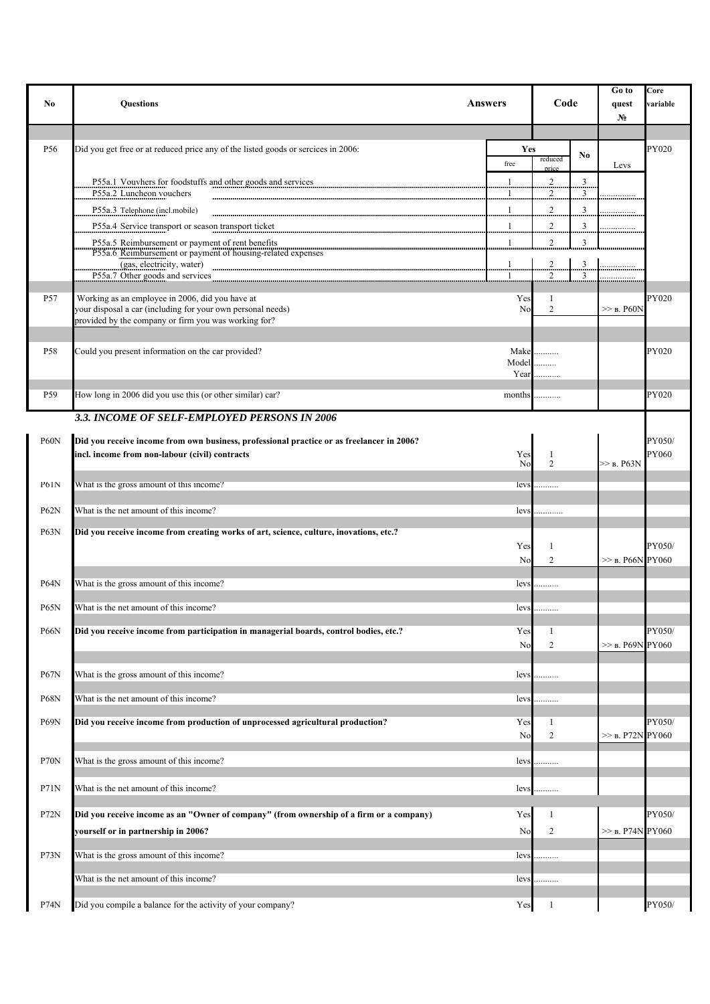| N <sub>0</sub>  | <b>Questions</b>                                                                                                                                                                                                                                                                   | Answers               | Code                |                              | Go to<br>quest<br>No | Core<br>variable |
|-----------------|------------------------------------------------------------------------------------------------------------------------------------------------------------------------------------------------------------------------------------------------------------------------------------|-----------------------|---------------------|------------------------------|----------------------|------------------|
|                 |                                                                                                                                                                                                                                                                                    |                       |                     |                              |                      |                  |
| P56             | Did you get free or at reduced price any of the listed goods or sercices in 2006:                                                                                                                                                                                                  | Yes<br>free           | reduced<br>price    | No                           | Levs                 | PY020            |
|                 | P55a.1 Vouvhers for foodstuffs and other goods and services<br>P55a.2 Luncheon vouchers                                                                                                                                                                                            | -1                    | $\overline{c}$<br>2 | $\overline{\mathbf{3}}$<br>3 |                      |                  |
|                 | P55a.3 Telephone (incl.mobile)                                                                                                                                                                                                                                                     | $\mathbf{1}$          | $\overline{c}$      | $\overline{\mathbf{3}}$      |                      |                  |
|                 | P55a.4 Service transport or season transport ticket                                                                                                                                                                                                                                |                       | $\overline{c}$      | $\overline{\mathbf{3}}$      |                      |                  |
|                 | P55a.5 Reimbursement or payment of rent benefits<br>A STAR AND COMMANDS OF THE REAL PROPERTY OF THE REAL PROPERTY OF THE PASSA OF REAL PROPERTY OF PAYMENT OF PAYMENT OF THE PERSON COMMANDED AND THE PAYMENT OF PAYMENT OF THE PAYMENT OF THE PAYMENT OF THE PAYMENT OF THE PAYME | 1                     | 2                   | 3                            |                      |                  |
|                 | (gas, electricity, water)<br>P55a.7 Other goods and services                                                                                                                                                                                                                       | $\frac{1}{2}$         | $^{2}$<br>2         | $\overline{\mathbf{3}}$<br>3 |                      |                  |
| P57             | Working as an employee in 2006, did you have at                                                                                                                                                                                                                                    | Yes                   | 1                   |                              |                      | PY020            |
|                 | your disposal a car (including for your own personal needs)<br>provided by the company or firm you was working for?                                                                                                                                                                | No                    | $\mathfrak{2}$      |                              | $\gg$ b. P60N        |                  |
| P58             | Could you present information on the car provided?                                                                                                                                                                                                                                 | Make                  | .                   |                              |                      | PY020            |
|                 |                                                                                                                                                                                                                                                                                    | Model<br>Year         | .<br>.              |                              |                      |                  |
| P <sub>59</sub> | How long in 2006 did you use this (or other similar) car?                                                                                                                                                                                                                          | months                | .                   |                              |                      | PY020            |
|                 | 3.3. INCOME OF SELF-EMPLOYED PERSONS IN 2006                                                                                                                                                                                                                                       |                       |                     |                              |                      |                  |
|                 |                                                                                                                                                                                                                                                                                    |                       |                     |                              |                      |                  |
| P60N            | Did you receive income from own business, professional practice or as freelancer in 2006?<br>incl. income from non-labour (civil) contracts                                                                                                                                        | Yes<br>N <sub>0</sub> | 1<br>$\overline{2}$ |                              | $\gg$ b. P63N        | PY050/<br>PY060  |
| P61N            | What is the gross amount of this income?                                                                                                                                                                                                                                           | levs                  | .                   |                              |                      |                  |
|                 |                                                                                                                                                                                                                                                                                    |                       |                     |                              |                      |                  |
| <b>P62N</b>     | What is the net amount of this income?                                                                                                                                                                                                                                             | levs                  |                     |                              |                      |                  |
| P63N            | Did you receive income from creating works of art, science, culture, inovations, etc.?                                                                                                                                                                                             |                       |                     |                              |                      |                  |
|                 |                                                                                                                                                                                                                                                                                    | Yes<br>No             | 1<br>$\overline{2}$ |                              | $\gg$ b. P66N PY060  | PY050/           |
| <b>P64N</b>     | What is the gross amount of this income?                                                                                                                                                                                                                                           | levs                  | .                   |                              |                      |                  |
| <b>P65N</b>     | What is the net amount of this income?                                                                                                                                                                                                                                             | levs                  | .                   |                              |                      |                  |
| <b>P66N</b>     | Did you receive income from participation in managerial boards, control bodies, etc.?                                                                                                                                                                                              | Yes                   | 1                   |                              |                      | PY050/           |
|                 |                                                                                                                                                                                                                                                                                    | No                    | $\mathfrak{2}$      |                              | $\gg$ b. P69N PY060  |                  |
| <b>P67N</b>     | What is the gross amount of this income?                                                                                                                                                                                                                                           | levs                  |                     |                              |                      |                  |
| <b>P68N</b>     | What is the net amount of this income?                                                                                                                                                                                                                                             | levs                  | .                   |                              |                      |                  |
| P69N            | Did you receive income from production of unprocessed agricultural production?                                                                                                                                                                                                     | Yes<br>No             | 1<br>$\mathbf{2}$   |                              | $>>$ B. P72N PY060   | PY050/           |
| P70N            | What is the gross amount of this income?                                                                                                                                                                                                                                           | levs                  |                     |                              |                      |                  |
|                 |                                                                                                                                                                                                                                                                                    |                       | .                   |                              |                      |                  |
| P71N            | What is the net amount of this income?                                                                                                                                                                                                                                             | levs                  | .                   |                              |                      |                  |
| P72N            | Did you receive income as an "Owner of company" (from ownership of a firm or a company)                                                                                                                                                                                            | Yes                   | 1                   |                              |                      | PY050/           |
|                 | yourself or in partnership in 2006?                                                                                                                                                                                                                                                | No                    | 2                   |                              | $\gg$ b. P74N PY060  |                  |
| P73N            | What is the gross amount of this income?                                                                                                                                                                                                                                           | levs                  | .                   |                              |                      |                  |
|                 | What is the net amount of this income?                                                                                                                                                                                                                                             | lev:                  | .                   |                              |                      |                  |
| P74N            | Did you compile a balance for the activity of your company?                                                                                                                                                                                                                        | Yes                   | 1                   |                              |                      | PY050/           |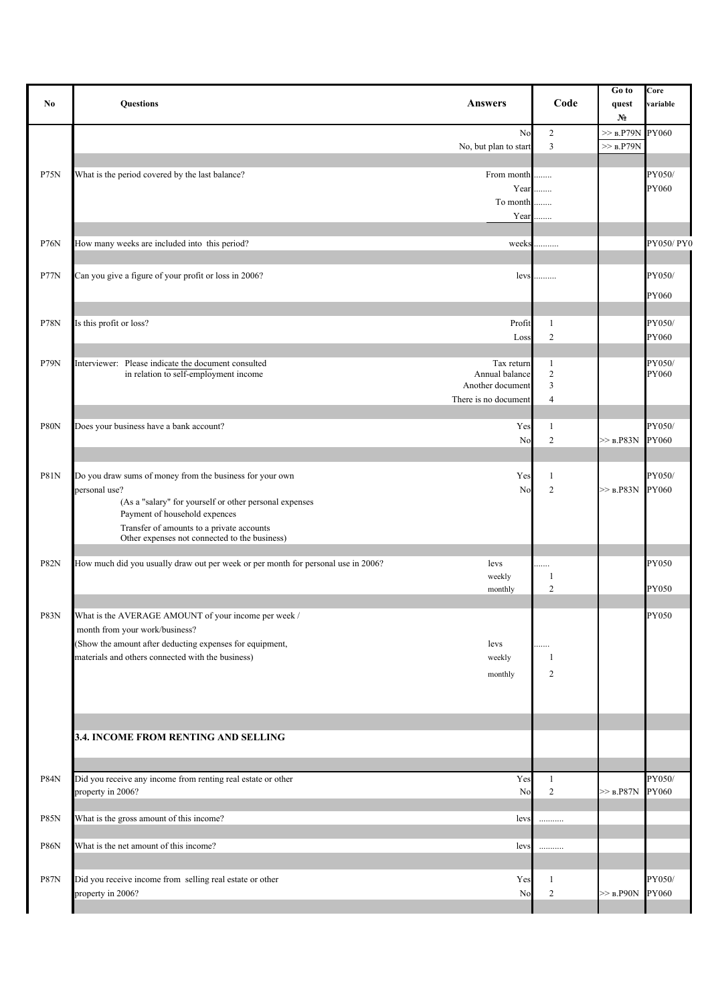| No          | <b>Questions</b><br><b>Answers</b>                                                                                                                                                                                                                                              | Code                                              | Go to<br>quest<br>$N_2$            | Core<br>variable |
|-------------|---------------------------------------------------------------------------------------------------------------------------------------------------------------------------------------------------------------------------------------------------------------------------------|---------------------------------------------------|------------------------------------|------------------|
|             | No<br>No, but plan to start                                                                                                                                                                                                                                                     | $\overline{c}$<br>$\overline{3}$                  | $>>$ B.P79N PY060<br>$>>$ $B.P79N$ |                  |
| <b>P75N</b> | What is the period covered by the last balance?<br>From month<br>Year<br>To month<br>Year                                                                                                                                                                                       | .<br>.<br>.                                       |                                    | PY050/<br>PY060  |
| <b>P76N</b> | How many weeks are included into this period?<br>weeks                                                                                                                                                                                                                          | .                                                 |                                    | PY050/PY0        |
| P77N        | Can you give a figure of your profit or loss in 2006?<br>levs                                                                                                                                                                                                                   | .                                                 |                                    | PY050/<br>PY060  |
| <b>P78N</b> | Is this profit or loss?<br>Profit                                                                                                                                                                                                                                               | $\mathbf{1}$                                      |                                    | PY050/           |
|             | Loss                                                                                                                                                                                                                                                                            | $\overline{c}$                                    |                                    | PY060            |
| P79N        | Interviewer: Please indicate the document consulted<br>Tax return<br>in relation to self-employment income<br>Annual balance<br>Another document<br>There is no document                                                                                                        | $\mathbf{1}$<br>$\sqrt{2}$<br>3<br>$\overline{4}$ |                                    | PY050/<br>PY060  |
| P80N        | Does your business have a bank account?<br>Yes                                                                                                                                                                                                                                  | 1                                                 |                                    | PY050/           |
|             | No                                                                                                                                                                                                                                                                              | $\overline{c}$                                    | $>>$ B.P83N                        | PY060            |
| <b>P81N</b> | Yes<br>Do you draw sums of money from the business for your own<br>personal use?<br>No<br>(As a "salary" for yourself or other personal expenses<br>Payment of household expences<br>Transfer of amounts to a private accounts<br>Other expenses not connected to the business) | 1<br>$\overline{c}$                               | $>>$ B.P83N                        | PY050/<br>PY060  |
| <b>P82N</b> | How much did you usually draw out per week or per month for personal use in 2006?<br>levs<br>weekly<br>monthly                                                                                                                                                                  | .<br>-1<br>$\overline{2}$                         |                                    | PY050<br>PY050   |
| P83N        | What is the AVERAGE AMOUNT of your income per week /<br>month from your work/business?<br>(Show the amount after deducting expenses for equipment,<br>levs<br>materials and others connected with the business)<br>weekly<br>monthly                                            | <br>-1<br>$\overline{c}$                          |                                    | PY050            |
|             | 3.4. INCOME FROM RENTING AND SELLING                                                                                                                                                                                                                                            |                                                   |                                    |                  |
| <b>P84N</b> | Did you receive any income from renting real estate or other<br>Yes                                                                                                                                                                                                             | $\mathbf{1}$                                      |                                    | PY050/           |
|             | property in 2006?<br>No                                                                                                                                                                                                                                                         | $\overline{c}$                                    | $>>$ $B.P87N$                      | PY060            |
| P85N        | What is the gross amount of this income?<br>levs                                                                                                                                                                                                                                | .                                                 |                                    |                  |
| <b>P86N</b> | What is the net amount of this income?<br>levs                                                                                                                                                                                                                                  | .                                                 |                                    |                  |
| <b>P87N</b> | Did you receive income from selling real estate or other<br>Yes<br>property in 2006?<br>No                                                                                                                                                                                      | $\mathbf{1}$<br>$\overline{2}$                    | $>>$ b.P90N                        | PY050/<br>PY060  |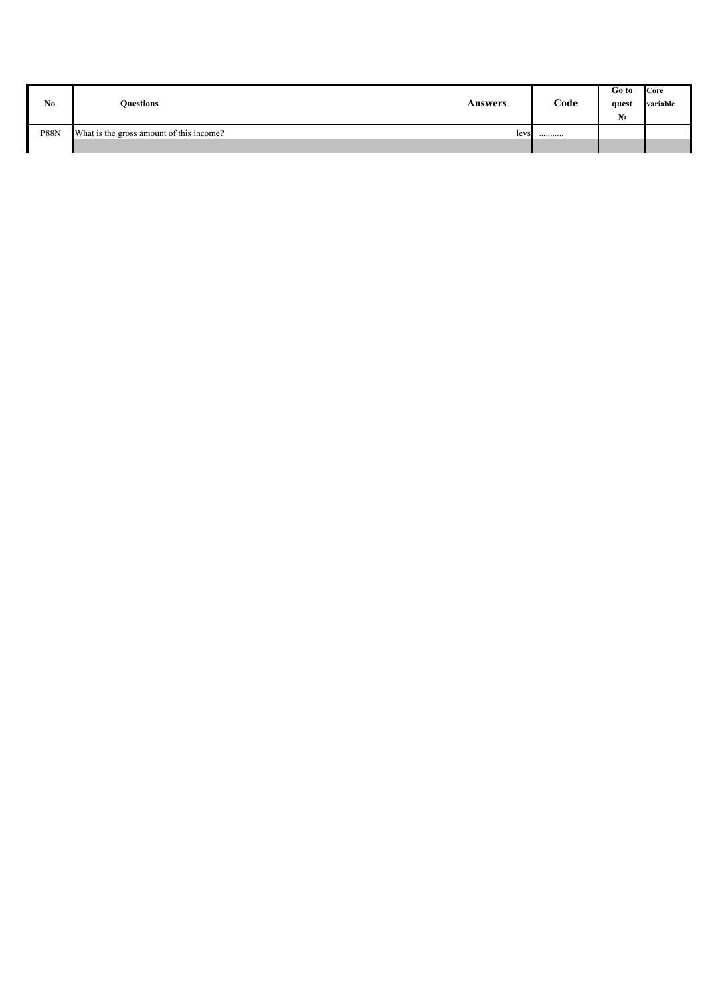| No.         | <b>Duestions</b>                         | Answers | Code | Go to<br>quest<br>$N_2$ | <b>Core</b><br>variable |
|-------------|------------------------------------------|---------|------|-------------------------|-------------------------|
| <b>P88N</b> | What is the gross amount of this income? | levs    |      |                         |                         |
|             |                                          |         |      |                         |                         |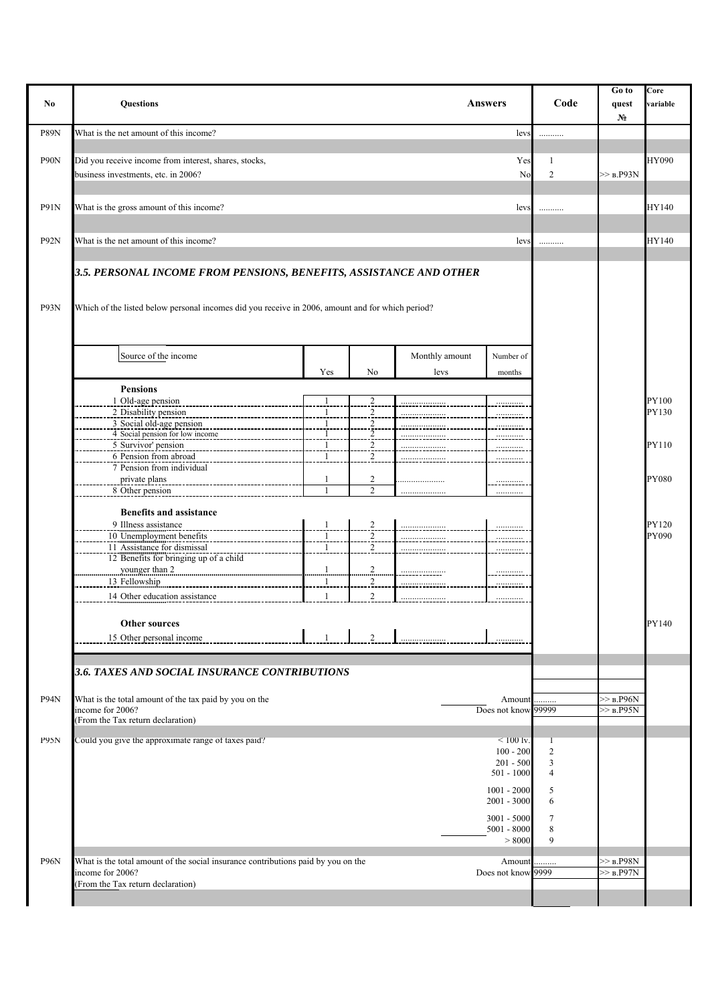| No                | <b>Questions</b>                                                                                                                                                       |                          |                                                                   |                        | <b>Answers</b>                                                    | Code                     | Go to<br>quest<br>$N_2$      | Core<br>variable |
|-------------------|------------------------------------------------------------------------------------------------------------------------------------------------------------------------|--------------------------|-------------------------------------------------------------------|------------------------|-------------------------------------------------------------------|--------------------------|------------------------------|------------------|
| <b>P89N</b>       | What is the net amount of this income?                                                                                                                                 |                          |                                                                   |                        | levs                                                              | .                        |                              |                  |
| P90N              | Did you receive income from interest, shares, stocks,<br>business investments, etc. in 2006?                                                                           |                          |                                                                   |                        | Yes<br>No                                                         | 1<br>$\overline{2}$      | $>>$ B.P93N                  | HY090            |
| <b>P91N</b>       | What is the gross amount of this income?                                                                                                                               |                          |                                                                   |                        | levs                                                              | .                        |                              | HY140            |
| P92N              | What is the net amount of this income?                                                                                                                                 |                          |                                                                   |                        | lev:                                                              | .                        |                              | HY140            |
| P93N              | 3.5. PERSONAL INCOME FROM PENSIONS, BENEFITS, ASSISTANCE AND OTHER<br>Which of the listed below personal incomes did you receive in 2006, amount and for which period? |                          |                                                                   |                        |                                                                   |                          |                              |                  |
|                   | Source of the income                                                                                                                                                   | Yes                      | No                                                                | Monthly amount<br>levs | Number of<br>months                                               |                          |                              |                  |
|                   | <b>Pensions</b><br>1 Old-age pension                                                                                                                                   |                          | $\overline{c}$                                                    |                        |                                                                   |                          |                              | PY100            |
|                   | 2 Disability pension<br>3 Social old-age pension<br>4 Social pension for low income<br>5 Survivor' pension                                                             | -1<br>-1<br>$\mathbf{1}$ | $\overline{2}$<br>$\begin{array}{c} 2 \\ 2 \\ 2 \\ 2 \end{array}$ |                        |                                                                   |                          |                              | PY130<br>PY110   |
|                   | 6 Pension from abroad<br>7 Pension from individual<br>private plans                                                                                                    | $\mathbf{1}$<br>-1       | $\overline{c}$                                                    |                        | <u>.</u>                                                          |                          |                              | <b>PY080</b>     |
|                   | 8 Other pension<br><b>Benefits and assistance</b>                                                                                                                      | $\mathbf{1}$             | $\overline{2}$                                                    |                        |                                                                   |                          |                              |                  |
|                   | 9 Illness assistance<br>10 Unemployment benefits<br>11 Assistance for dismissal<br>12 Benefits for bringing up of a child                                              | $\mathbf{1}$             | $\overline{2}$<br>$\overline{2}$<br>$\overline{c}$                |                        |                                                                   |                          |                              | PY120<br>PY090   |
|                   | younger than 2<br>13 Fellowship                                                                                                                                        | !<br>-1                  | $rac{2}{2}$<br>$\overline{2}$                                     | <u>.</u> .             |                                                                   |                          |                              |                  |
|                   | 14 Other education assistance<br><b>Other sources</b>                                                                                                                  |                          | $\overline{2}$                                                    |                        |                                                                   |                          |                              | PY140            |
|                   | 15 Other personal income                                                                                                                                               | $\mathbf{1}$             | $\overline{2}$                                                    |                        | .                                                                 |                          |                              |                  |
|                   | 3.6. TAXES AND SOCIAL INSURANCE CONTRIBUTIONS                                                                                                                          |                          |                                                                   |                        |                                                                   |                          |                              |                  |
| P94N              | What is the total amount of the tax paid by you on the<br>income for 2006?<br>(From the Tax return declaration)                                                        |                          |                                                                   |                        | Amount<br>Does not know 99999                                     |                          | $>>$ b.P96N<br>$>$ b.P95N    |                  |
| P95N              | Could you give the approximate range of taxes paid?                                                                                                                    |                          |                                                                   |                        | $< 100 \text{ ly.}$<br>$100 - 200$<br>$201 - 500$<br>$501 - 1000$ | $\overline{c}$<br>3<br>4 |                              |                  |
|                   |                                                                                                                                                                        |                          |                                                                   |                        | $1001 - 2000$<br>$2001 - 3000$<br>$3001 - 5000$                   | 5<br>6<br>7              |                              |                  |
|                   |                                                                                                                                                                        |                          |                                                                   |                        | $5001 - 8000$<br>> 8000                                           | 8<br>$\mathbf{Q}$        |                              |                  |
| P <sub>96</sub> N | What is the total amount of the social insurance contributions paid by you on the<br>income for 2006?<br>(From the Tax return declaration)                             |                          |                                                                   |                        | Amount<br>Does not know 9999                                      | .                        | $>>$ B.P98N<br>$>>$ $B.P97N$ |                  |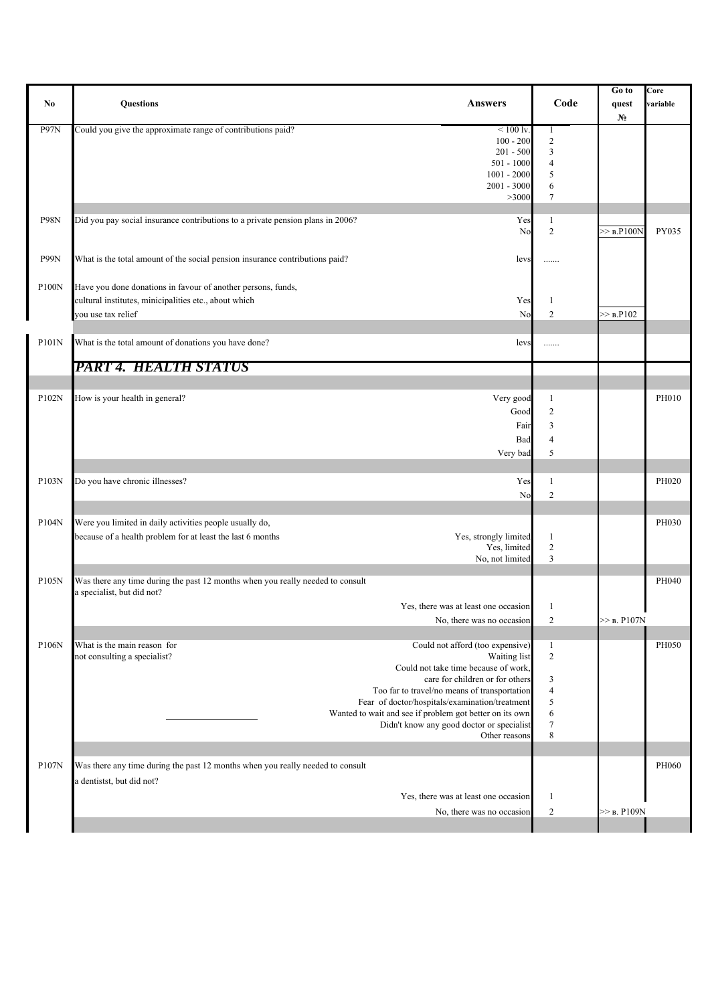|             |                                                                                       |                          | Go to          | Core     |
|-------------|---------------------------------------------------------------------------------------|--------------------------|----------------|----------|
| No          | <b>Questions</b><br><b>Answers</b>                                                    | Code                     | quest          | variable |
|             |                                                                                       |                          | $N_2$          |          |
| P97N        | Could you give the approximate range of contributions paid?<br>$< 100$ lv.            | 1                        |                |          |
|             | $100 - 200$                                                                           | $\overline{2}$           |                |          |
|             | $201 - 500$                                                                           | $\mathfrak{Z}$           |                |          |
|             | $501 - 1000$                                                                          | $\overline{4}$           |                |          |
|             | $1001 - 2000$                                                                         | 5                        |                |          |
|             | 2001 - 3000                                                                           | 6                        |                |          |
|             | >3000                                                                                 | $\tau$                   |                |          |
|             |                                                                                       |                          |                |          |
| <b>P98N</b> | Did you pay social insurance contributions to a private pension plans in 2006?<br>Yes | $\mathbf{1}$             |                |          |
|             | No                                                                                    | $\overline{c}$           | $>>$ B.P100N   | PY035    |
|             |                                                                                       |                          |                |          |
| P99N        | What is the total amount of the social pension insurance contributions paid?<br>levs  | .                        |                |          |
|             |                                                                                       |                          |                |          |
|             |                                                                                       |                          |                |          |
| P100N       | Have you done donations in favour of another persons, funds,                          |                          |                |          |
|             | cultural institutes, minicipalities etc., about which<br>Yes                          | $\mathbf{1}$             |                |          |
|             | you use tax relief<br>No                                                              | $\overline{c}$           | >> B.P102      |          |
|             |                                                                                       |                          |                |          |
| P101N       | What is the total amount of donations you have done?<br>levs                          |                          |                |          |
|             |                                                                                       | .                        |                |          |
|             | PART 4. HEALTH STATUS                                                                 |                          |                |          |
|             |                                                                                       |                          |                |          |
|             |                                                                                       |                          |                |          |
| P102N       | How is your health in general?<br>Very good                                           | $\mathbf{1}$             |                | PH010    |
|             | Good                                                                                  | $\overline{c}$           |                |          |
|             |                                                                                       |                          |                |          |
|             | Fair                                                                                  | $\overline{\mathbf{3}}$  |                |          |
|             | Bad                                                                                   | $\overline{4}$           |                |          |
|             | Very bad                                                                              | 5                        |                |          |
|             |                                                                                       |                          |                |          |
| P103N       | Do you have chronic illnesses?<br>Yes                                                 | 1                        |                | PH020    |
|             | No                                                                                    | $\overline{c}$           |                |          |
|             |                                                                                       |                          |                |          |
|             |                                                                                       |                          |                |          |
| P104N       | Were you limited in daily activities people usually do,                               |                          |                | PH030    |
|             | Yes, strongly limited<br>because of a health problem for at least the last 6 months   | $\mathbf{1}$             |                |          |
|             | Yes, limited                                                                          | $\sqrt{2}$               |                |          |
|             | No, not limited                                                                       | $\mathfrak{Z}$           |                |          |
|             |                                                                                       |                          |                |          |
| P105N       | Was there any time during the past 12 months when you really needed to consult        |                          |                | PH040    |
|             | a specialist, but did not?                                                            |                          |                |          |
|             | Yes, there was at least one occasion                                                  | 1                        |                |          |
|             | No, there was no occasion                                                             | $\overline{c}$           | $>>$ B. P107N  |          |
|             |                                                                                       |                          |                |          |
| P106N       | What is the main reason for<br>Could not afford (too expensive)                       | $\mathbf{1}$             |                | PH050    |
|             | not consulting a specialist?<br>Waiting list                                          | $\sqrt{2}$               |                |          |
|             | Could not take time because of work,                                                  |                          |                |          |
|             | care for children or for others                                                       | $\mathfrak{Z}$           |                |          |
|             | Too far to travel/no means of transportation                                          | $\overline{\mathcal{A}}$ |                |          |
|             | Fear of doctor/hospitals/examination/treatment                                        | 5                        |                |          |
|             | Wanted to wait and see if problem got better on its own                               | 6                        |                |          |
|             | Didn't know any good doctor or specialist                                             | $\sqrt{ }$               |                |          |
|             | Other reasons                                                                         | 8                        |                |          |
|             |                                                                                       |                          |                |          |
| P107N       | Was there any time during the past 12 months when you really needed to consult        |                          |                | PH060    |
|             |                                                                                       |                          |                |          |
|             | a dentistst, but did not?                                                             |                          |                |          |
|             | Yes, there was at least one occasion                                                  | $\mathbf{1}$             |                |          |
|             | No, there was no occasion                                                             | $\overline{2}$           | $\gg$ B. P109N |          |
|             |                                                                                       |                          |                |          |
|             |                                                                                       |                          |                |          |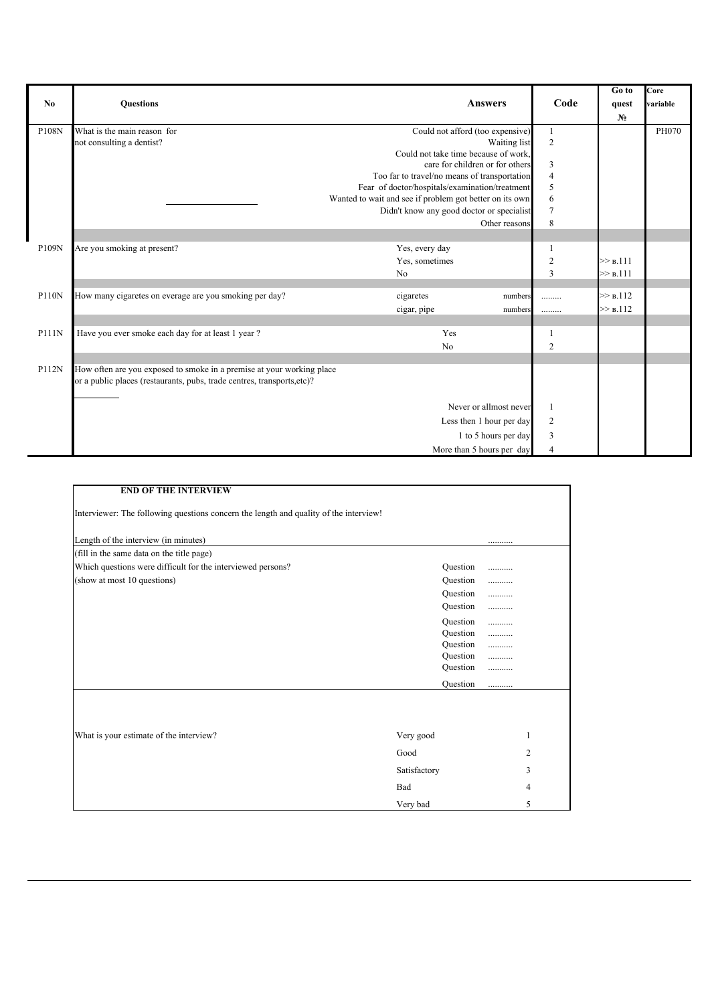|              |                                                                         |                                                         |                          | Go to          | Core     |
|--------------|-------------------------------------------------------------------------|---------------------------------------------------------|--------------------------|----------------|----------|
| No           | <b>Ouestions</b>                                                        | <b>Answers</b>                                          | Code                     | quest          | variable |
|              |                                                                         |                                                         |                          | N <sub>2</sub> |          |
| P108N        | What is the main reason for                                             | Could not afford (too expensive)                        |                          |                | PH070    |
|              | not consulting a dentist?                                               | Waiting list                                            | $\overline{2}$           |                |          |
|              |                                                                         | Could not take time because of work.                    |                          |                |          |
|              |                                                                         | care for children or for others                         | $\overline{3}$           |                |          |
|              |                                                                         | Too far to travel/no means of transportation            | $\overline{4}$           |                |          |
|              |                                                                         | Fear of doctor/hospitals/examination/treatment          | 5                        |                |          |
|              |                                                                         | Wanted to wait and see if problem got better on its own | 6                        |                |          |
|              |                                                                         | Didn't know any good doctor or specialist               | $\overline{7}$           |                |          |
|              |                                                                         | Other reasons                                           | 8                        |                |          |
|              |                                                                         |                                                         |                          |                |          |
| P109N        | Are you smoking at present?                                             | Yes, every day                                          |                          |                |          |
|              |                                                                         | Yes, sometimes                                          | $\overline{2}$           | >> B.111       |          |
|              |                                                                         | N <sub>0</sub>                                          | 3                        | >> B.111       |          |
|              |                                                                         |                                                         |                          |                |          |
| P110N        | How many cigaretes on everage are you smoking per day?                  | cigaretes<br>numbers                                    |                          | >> B.112       |          |
|              |                                                                         | cigar, pipe<br>numbers                                  |                          | >> B.112       |          |
|              |                                                                         |                                                         |                          |                |          |
| <b>P111N</b> | Have you ever smoke each day for at least 1 year?                       | Yes                                                     |                          |                |          |
|              |                                                                         | No                                                      | 2                        |                |          |
|              |                                                                         |                                                         |                          |                |          |
| P112N        | How often are you exposed to smoke in a premise at your working place   |                                                         |                          |                |          |
|              | or a public places (restaurants, pubs, trade centres, transports, etc)? |                                                         |                          |                |          |
|              |                                                                         |                                                         |                          |                |          |
|              |                                                                         | Never or allmost never                                  |                          |                |          |
|              |                                                                         | Less then 1 hour per day                                | $\overline{2}$           |                |          |
|              |                                                                         | 1 to 5 hours per day                                    | 3                        |                |          |
|              |                                                                         | More than 5 hours per day                               | $\boldsymbol{\varDelta}$ |                |          |

| <b>END OF THE INTERVIEW</b>                                                           |                      |                |
|---------------------------------------------------------------------------------------|----------------------|----------------|
| Interviewer: The following questions concern the length and quality of the interview! |                      |                |
| Length of the interview (in minutes)                                                  |                      |                |
| (fill in the same data on the title page)                                             |                      |                |
| Which questions were difficult for the interviewed persons?                           | Question             | .              |
| (show at most 10 questions)                                                           | Question             |                |
|                                                                                       | Question             |                |
|                                                                                       | Question             |                |
|                                                                                       | Question             |                |
|                                                                                       | Question             |                |
|                                                                                       | Question             |                |
|                                                                                       | Question<br>Question | <br>           |
|                                                                                       |                      |                |
|                                                                                       | Question             |                |
|                                                                                       |                      |                |
|                                                                                       |                      |                |
| What is your estimate of the interview?                                               | Very good            | 1              |
|                                                                                       | Good                 | $\overline{2}$ |
|                                                                                       | Satisfactory         | 3              |
|                                                                                       | Bad                  | 4              |
|                                                                                       | Very bad             | 5              |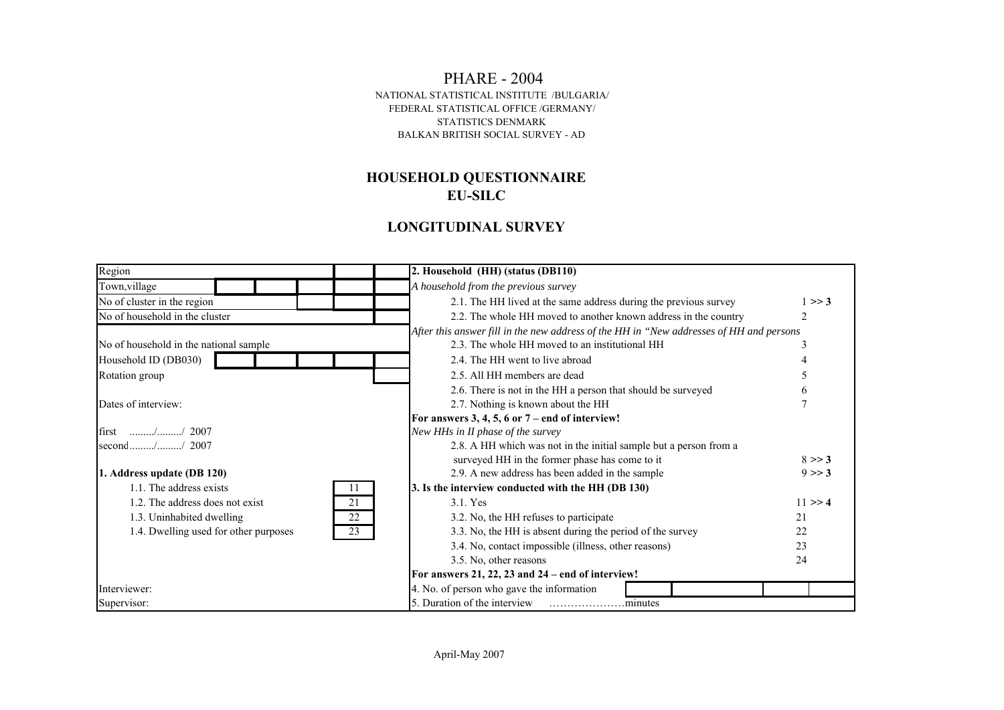#### PHARE - 2004 FEDERAL STATISTICAL OFFICE /GERMANY/ STATISTICS DENMARK BALKAN BRITISH SOCIAL SURVEY - AD NATIONAL STATISTICAL INSTITUTE /BULGARIA/

## **HOUSEHOLD QUESTIONNAIRE EU-SILC**

## **LONGITUDINAL SURVEY**

| Region                                      | 2. Household (HH) (status (DB110)                                                       |  |
|---------------------------------------------|-----------------------------------------------------------------------------------------|--|
| Town, village                               | A household from the previous survey                                                    |  |
| No of cluster in the region                 | 2.1. The HH lived at the same address during the previous survey<br>1 > > 3             |  |
| No of household in the cluster              | 2.2. The whole HH moved to another known address in the country<br>2                    |  |
|                                             | After this answer fill in the new address of the HH in "New addresses of HH and persons |  |
| No of household in the national sample      | 2.3. The whole HH moved to an institutional HH<br>3                                     |  |
| Household ID (DB030)                        | 2.4. The HH went to live abroad                                                         |  |
| Rotation group                              | 2.5. All HH members are dead                                                            |  |
|                                             | 2.6. There is not in the HH a person that should be surveyed<br>6                       |  |
| Dates of interview:                         | 2.7. Nothing is known about the HH                                                      |  |
|                                             | For answers 3, 4, 5, 6 or $7-$ end of interview!                                        |  |
| first // 2007                               | New HHs in II phase of the survey                                                       |  |
| second // 2007                              | 2.8. A HH which was not in the initial sample but a person from a                       |  |
|                                             | surveyed HH in the former phase has come to it<br>8 > > 3                               |  |
| 1. Address update (DB 120)                  | 2.9. A new address has been added in the sample<br>9 > > 3                              |  |
| 1.1. The address exists<br>11               | 3. Is the interview conducted with the HH (DB 130)                                      |  |
| 1.2. The address does not exist<br>21       | $11 \gg 4$<br>3.1. Yes                                                                  |  |
| 22<br>1.3. Uninhabited dwelling             | 3.2. No, the HH refuses to participate<br>21                                            |  |
| 1.4. Dwelling used for other purposes<br>23 | 3.3. No, the HH is absent during the period of the survey<br>22                         |  |
|                                             | 3.4. No, contact impossible (illness, other reasons)<br>23                              |  |
|                                             | 3.5. No, other reasons<br>24                                                            |  |
|                                             | For answers $21, 22, 23$ and $24$ – end of interview!                                   |  |
| Interviewer:                                | 4. No. of person who gave the information                                               |  |
| Supervisor:                                 | 5. Duration of the interview                                                            |  |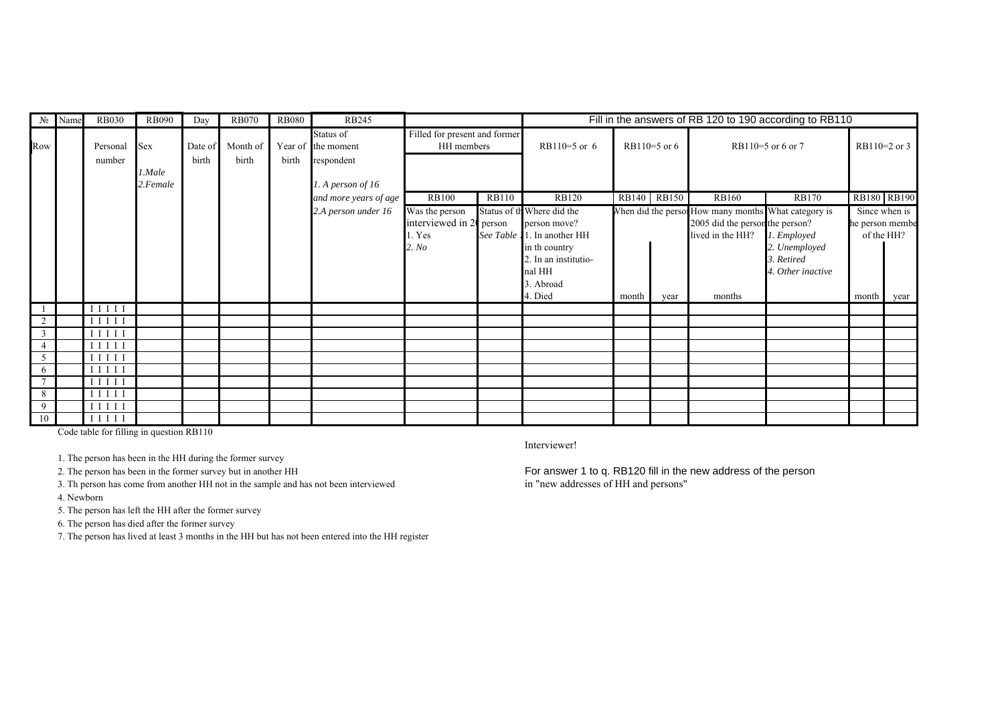|                 | No Name | <b>RB030</b>        | <b>RB090</b> | Day     | <b>RB070</b> | <b>RB080</b> | <b>RB245</b>                    |                                             | Fill in the answers of RB 120 to 190 according to RB110 |                             |       |              |                                                      |                   |                 |                |
|-----------------|---------|---------------------|--------------|---------|--------------|--------------|---------------------------------|---------------------------------------------|---------------------------------------------------------|-----------------------------|-------|--------------|------------------------------------------------------|-------------------|-----------------|----------------|
| Row             |         | Personal            | <b>Sex</b>   | Date of | Month of     |              | Status of<br>Year of the moment | Filled for present and former<br>HH members |                                                         | $RB110=5$ or 6              |       | RB110=5 or 6 |                                                      | RB110=5 or 6 or 7 |                 | $RB110=2$ or 3 |
|                 |         | number              |              | birth   | birth        | birth        | respondent                      |                                             |                                                         |                             |       |              |                                                      |                   |                 |                |
|                 |         |                     | l.Male       |         |              |              |                                 |                                             |                                                         |                             |       |              |                                                      |                   |                 |                |
|                 |         |                     | 2.Female     |         |              |              | 1. A person of $16$             |                                             |                                                         |                             |       |              |                                                      |                   |                 |                |
|                 |         |                     |              |         |              |              | and more years of age           | <b>RB100</b>                                | <b>RB110</b>                                            | <b>RB120</b>                |       | RB140 RB150  | <b>RB160</b>                                         | <b>RB170</b>      |                 | RB180 RB190    |
|                 |         |                     |              |         |              |              | 2.A person under 16             | Was the person                              |                                                         | Status of th Where did the  |       |              | When did the persor How many months What category is |                   |                 | Since when is  |
|                 |         |                     |              |         |              |              |                                 | interviewed in 20 person                    |                                                         | person move?                |       |              | 2005 did the person the person?                      |                   | he person membe |                |
|                 |         |                     |              |         |              |              |                                 | 1. Yes                                      |                                                         | See Table 11. In another HH |       |              | lived in the HH?                                     | 1. Employed       |                 | of the HH?     |
|                 |         |                     |              |         |              |              |                                 | 2. No                                       |                                                         | in th country               |       |              |                                                      | 2. Unemployed     |                 |                |
|                 |         |                     |              |         |              |              |                                 |                                             |                                                         | 2. In an institutio-        |       |              |                                                      | 3. Retired        |                 |                |
|                 |         |                     |              |         |              |              |                                 |                                             |                                                         | nal HH                      |       |              |                                                      | 4. Other inactive |                 |                |
|                 |         |                     |              |         |              |              |                                 |                                             |                                                         | 3. Abroad                   |       |              |                                                      |                   |                 |                |
|                 |         |                     |              |         |              |              |                                 |                                             |                                                         | 4. Died                     | month | year         | months                                               |                   | month           | year           |
|                 |         | $I$ $I$ $I$ $I$ $I$ |              |         |              |              |                                 |                                             |                                                         |                             |       |              |                                                      |                   |                 |                |
| 2               |         | $I$ $I$ $I$ $I$ $I$ |              |         |              |              |                                 |                                             |                                                         |                             |       |              |                                                      |                   |                 |                |
|                 |         | $I$ $I$ $I$ $I$ $I$ |              |         |              |              |                                 |                                             |                                                         |                             |       |              |                                                      |                   |                 |                |
|                 |         | $I$ $I$ $I$ $I$ $I$ |              |         |              |              |                                 |                                             |                                                         |                             |       |              |                                                      |                   |                 |                |
|                 |         | $I$ $I$ $I$ $I$ $I$ |              |         |              |              |                                 |                                             |                                                         |                             |       |              |                                                      |                   |                 |                |
| 6               |         | $I$ $I$ $I$ $I$ $I$ |              |         |              |              |                                 |                                             |                                                         |                             |       |              |                                                      |                   |                 |                |
| $\mathcal{L}$   |         | $I$ $I$ $I$ $I$ $I$ |              |         |              |              |                                 |                                             |                                                         |                             |       |              |                                                      |                   |                 |                |
| 8               |         | $I$ $I$ $I$ $I$ $I$ |              |         |              |              |                                 |                                             |                                                         |                             |       |              |                                                      |                   |                 |                |
| 9               |         | $I$ $I$ $I$ $I$ $I$ |              |         |              |              |                                 |                                             |                                                         |                             |       |              |                                                      |                   |                 |                |
| $\overline{10}$ |         | I I I I I           |              |         |              |              |                                 |                                             |                                                         |                             |       |              |                                                      |                   |                 |                |

Code table for filling in question RB110

1. The person has been in the HH during the former survey

3. Th person has come from another HH not in the sample and has not been interviewed in "new addresses of HH and persons" 4. Newborn

5. The person has left the HH after the former survey

6. The person has died after the former survey

7. The person has lived at least 3 months in the HH but has not been entered into the HH register

Interviewer!

2. The person has been in the former survey but in another HH For answer 1 to q. RB120 fill in the new address of the person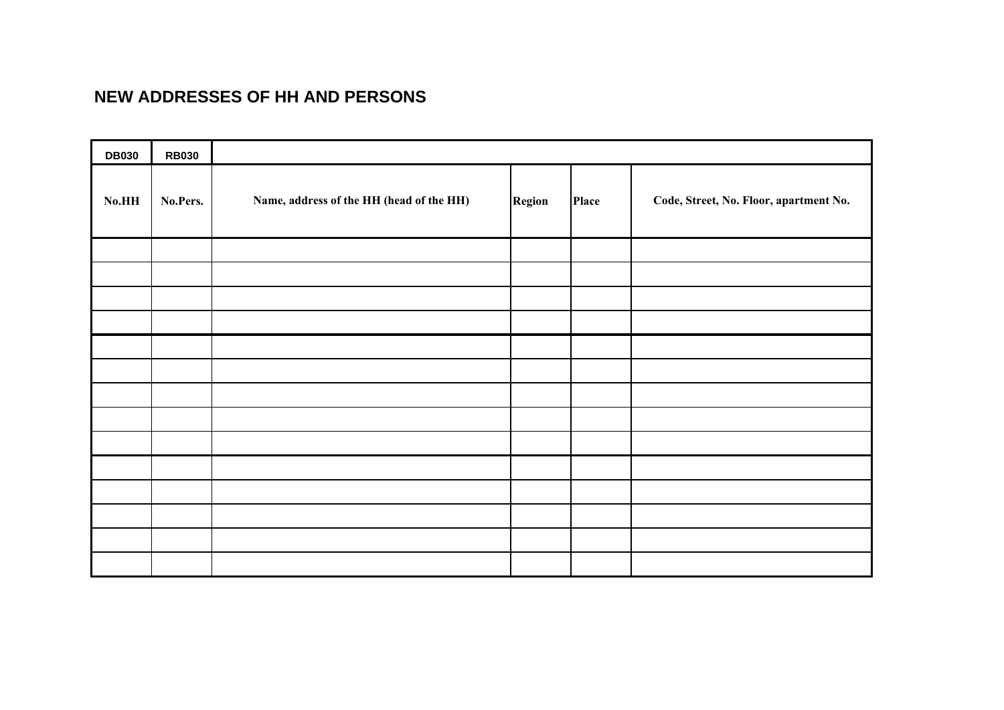# **NEW ADDRESSES OF HH AND PERSONS**

| <b>DB030</b> | <b>RB030</b> |                                          |        |       |                                        |
|--------------|--------------|------------------------------------------|--------|-------|----------------------------------------|
| $\bf No. HH$ | No.Pers.     | Name, address of the HH (head of the HH) | Region | Place | Code, Street, No. Floor, apartment No. |
|              |              |                                          |        |       |                                        |
|              |              |                                          |        |       |                                        |
|              |              |                                          |        |       |                                        |
|              |              |                                          |        |       |                                        |
|              |              |                                          |        |       |                                        |
|              |              |                                          |        |       |                                        |
|              |              |                                          |        |       |                                        |
|              |              |                                          |        |       |                                        |
|              |              |                                          |        |       |                                        |
|              |              |                                          |        |       |                                        |
|              |              |                                          |        |       |                                        |
|              |              |                                          |        |       |                                        |
|              |              |                                          |        |       |                                        |
|              |              |                                          |        |       |                                        |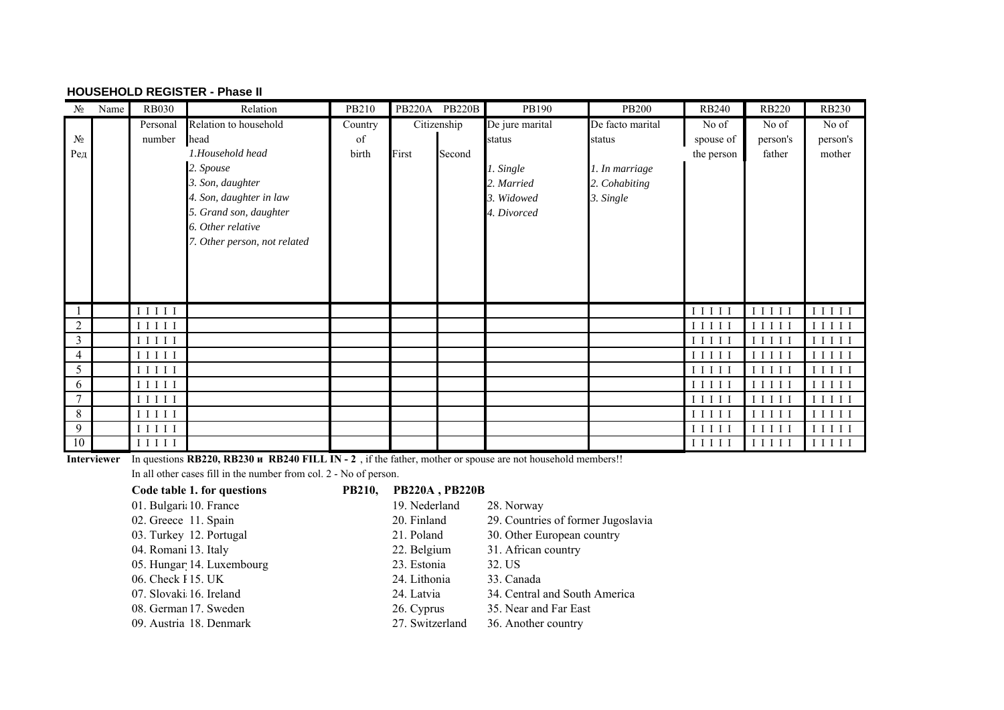#### **HOUSEHOLD REGISTER - Phase II**

| $N_2$          | Name | <b>RB030</b>                                                                                | Relation                     | PB210   |       | PB220A PB220B | PB190           | <b>PB200</b>     | <b>RB240</b>        | <b>RB220</b>                                                                    | <b>RB230</b>                                                                                 |
|----------------|------|---------------------------------------------------------------------------------------------|------------------------------|---------|-------|---------------|-----------------|------------------|---------------------|---------------------------------------------------------------------------------|----------------------------------------------------------------------------------------------|
|                |      | Personal                                                                                    | Relation to household        | Country |       | Citizenship   | De jure marital | De facto marital | No of               | No of                                                                           | No of                                                                                        |
| $N_2$          |      | number                                                                                      | head                         | of      |       |               | status          | status           | spouse of           | person's                                                                        | person's                                                                                     |
| Ред            |      |                                                                                             | 1.Household head             | birth   | First | Second        |                 |                  | the person          | father                                                                          | mother                                                                                       |
|                |      |                                                                                             | 2. Spouse                    |         |       |               | 1. Single       | 1. In marriage   |                     |                                                                                 |                                                                                              |
|                |      |                                                                                             | 3. Son, daughter             |         |       |               | 2. Married      | 2. Cohabiting    |                     |                                                                                 |                                                                                              |
|                |      |                                                                                             | 4. Son, daughter in law      |         |       |               | 3. Widowed      | 3. Single        |                     |                                                                                 |                                                                                              |
|                |      |                                                                                             | 5. Grand son, daughter       |         |       |               | 4. Divorced     |                  |                     |                                                                                 |                                                                                              |
|                |      |                                                                                             | 6. Other relative            |         |       |               |                 |                  |                     |                                                                                 |                                                                                              |
|                |      |                                                                                             | 7. Other person, not related |         |       |               |                 |                  |                     |                                                                                 |                                                                                              |
|                |      |                                                                                             |                              |         |       |               |                 |                  |                     |                                                                                 |                                                                                              |
|                |      |                                                                                             |                              |         |       |               |                 |                  |                     |                                                                                 |                                                                                              |
|                |      |                                                                                             |                              |         |       |               |                 |                  |                     |                                                                                 |                                                                                              |
|                |      |                                                                                             |                              |         |       |               |                 |                  |                     |                                                                                 |                                                                                              |
| -1             |      | I I I I I                                                                                   |                              |         |       |               |                 |                  | I I I I             | I I I I                                                                         | I I I I I                                                                                    |
| $\overline{2}$ |      | $\begin{array}{c} \text{I}\ \text{I}\ \text{I}\ \text{I}\ \text{I} \end{array}$             |                              |         |       |               |                 |                  | I I I I             | I I I I                                                                         | I I I I I                                                                                    |
| $\mathbf{3}$   |      |                                                                                             |                              |         |       |               |                 |                  | I I I I             | I I I I I                                                                       | I I I I I                                                                                    |
| $\overline{4}$ |      | $I$ $I$ $I$ $I$ $I$                                                                         |                              |         |       |               |                 |                  | I I I I             | $I$ $I$ $I$ $I$ $I$                                                             | I I I I I                                                                                    |
| 5              |      | $\;$ I I I I I                                                                              |                              |         |       |               |                 |                  | $I$ $I$ $I$ $I$ $I$ | IIIII                                                                           | I I I I I                                                                                    |
| 6              |      | $\rm I\ I\ I\ I$                                                                            |                              |         |       |               |                 |                  | IIIII               | $I$ $I$ $I$ $I$                                                                 | $\begin{array}{c}\mathbf{I} \ \mathbf{I} \ \mathbf{I} \ \mathbf{I} \ \mathbf{I} \end{array}$ |
| $\overline{7}$ |      | $\begin{array}{c} \text{I}\ \text{I}\ \text{I}\ \text{I}\ \text{I}\ \end{array}$            |                              |         |       |               |                 |                  | IIIII               | IIIII                                                                           | I I I I I                                                                                    |
| 8              |      | $\begin{array}{c} \text{I}\ \text{I}\ \text{I}\ \text{I}\ \text{I} \end{array}$             |                              |         |       |               |                 |                  | I I I I I           | I I I I I                                                                       | I I I I I                                                                                    |
| 9              |      | $\;$ I I I I I                                                                              |                              |         |       |               |                 |                  | IIIII               | $I$ $I$ $I$ $I$ $I$                                                             | I I I I I                                                                                    |
| 10             |      | $\begin{array}{c}\mathbf{I} & \mathbf{I} & \mathbf{I} & \mathbf{I} & \mathbf{I}\end{array}$ |                              |         |       |               |                 |                  | I I I I I           | $\begin{array}{c} \text{I}\ \text{I}\ \text{I}\ \text{I}\ \text{I} \end{array}$ | $I$ I I I I                                                                                  |

**Interviewer** In questions **RB220, RB230 и RB240 FILL IN - 2** , if the father, mother or spouse are not household members!!

In all other cases fill in the number from col. 2 - No of person.

| Code table 1. for questions | <b>PB210,</b> | <b>PB220A, PB220B</b> |                                    |
|-----------------------------|---------------|-----------------------|------------------------------------|
| 01. Bulgaria 10. France     |               | 19. Nederland         | 28. Norway                         |
| 02. Greece 11. Spain        |               | 20. Finland           | 29. Countries of former Jugoslavia |
| 03. Turkey 12. Portugal     |               | 21. Poland            | 30. Other European country         |
| 04. Romani 13. Italy        |               | 22. Belgium           | 31. African country                |
| 05. Hungar 14. Luxembourg   |               | 23. Estonia           | 32. US                             |
| 06. Check F15. UK           |               | 24. Lithonia          | 33. Canada                         |
| 07. Slovaki 16. Ireland     |               | 24. Latvia            | 34. Central and South America      |
| 08. German 17. Sweden       |               | 26. Cyprus            | 35. Near and Far East              |
| 09. Austria 18. Denmark     |               | 27. Switzerland       | 36. Another country                |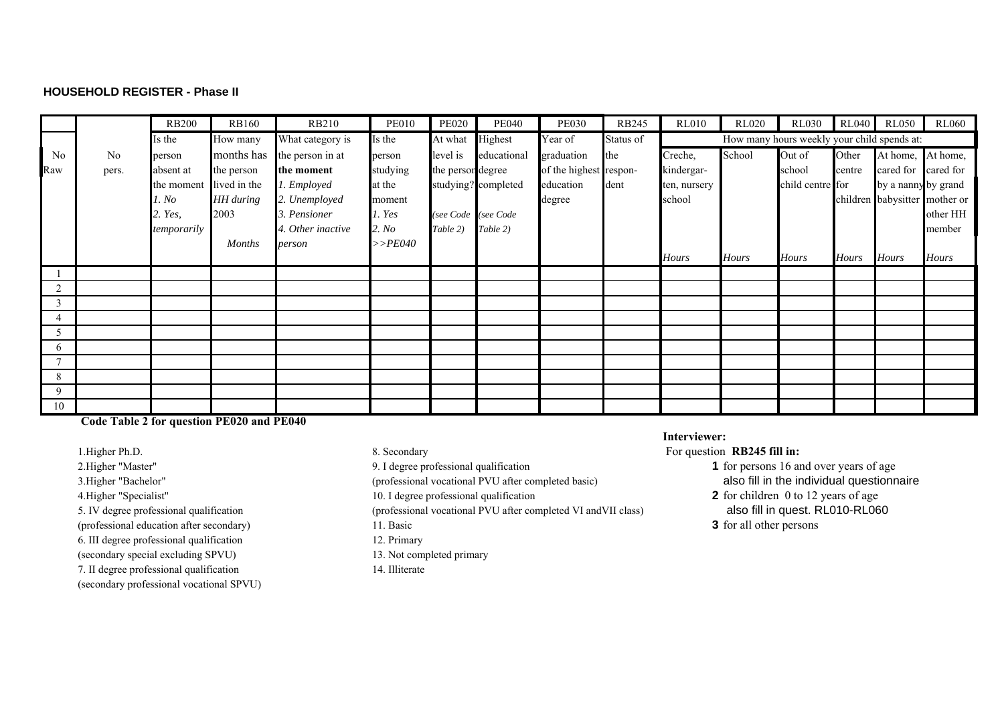#### **HOUSEHOLD REGISTER - Phase II**

|                |                | <b>RB200</b> | <b>RB160</b>  | <b>RB210</b>                | <b>PE010</b> | <b>PE020</b>      | <b>PE040</b>        | <b>PE030</b>           | <b>RB245</b> | <b>RL010</b> | <b>RL020</b> | <b>RL030</b>                                | RL040        | <b>RL050</b>        | <b>RL060</b>                  |
|----------------|----------------|--------------|---------------|-----------------------------|--------------|-------------------|---------------------|------------------------|--------------|--------------|--------------|---------------------------------------------|--------------|---------------------|-------------------------------|
|                |                | Is the       | How many      | What category is            | Is the       | At what           | Highest             | Year of                | Status of    |              |              | How many hours weekly your child spends at: |              |                     |                               |
| N <sub>0</sub> | N <sub>0</sub> | person       |               | months has the person in at | person       | level is          | educational         | graduation             | the          | Creche,      | School       | Out of                                      | Other        | At home,            | At home,                      |
| Raw            | pers.          | absent at    | the person    | the moment                  | studying     | the person degree |                     | of the highest respon- |              | kindergar-   |              | school                                      | centre       | cared for           | cared for                     |
|                |                | the moment   | lived in the  | 1. Employed                 | at the       |                   | studying? completed | education              | dent         | ten, nursery |              | child centre for                            |              | by a nanny by grand |                               |
|                |                | 1. No        | HH during     | 2. Unemployed               | moment       |                   |                     | degree                 |              | school       |              |                                             |              |                     | children babysitter mother or |
|                |                | 2. Yes,      | 2003          | 3. Pensioner                | 1. Yes       |                   | (see Code (see Code |                        |              |              |              |                                             |              |                     | other HH                      |
|                |                | temporarily  |               | 4. Other inactive           | 2. No        | Table 2)          | Table 2)            |                        |              |              |              |                                             |              |                     | member                        |
|                |                |              | <b>Months</b> | person                      | $>>$ PE040   |                   |                     |                        |              |              |              |                                             |              |                     |                               |
|                |                |              |               |                             |              |                   |                     |                        |              | <b>Hours</b> | <b>Hours</b> | <b>Hours</b>                                | <b>Hours</b> | <b>Hours</b>        | <b>Hours</b>                  |
|                |                |              |               |                             |              |                   |                     |                        |              |              |              |                                             |              |                     |                               |
| $\overline{2}$ |                |              |               |                             |              |                   |                     |                        |              |              |              |                                             |              |                     |                               |
| 3              |                |              |               |                             |              |                   |                     |                        |              |              |              |                                             |              |                     |                               |
|                |                |              |               |                             |              |                   |                     |                        |              |              |              |                                             |              |                     |                               |
|                |                |              |               |                             |              |                   |                     |                        |              |              |              |                                             |              |                     |                               |
| 6              |                |              |               |                             |              |                   |                     |                        |              |              |              |                                             |              |                     |                               |
| $\overline{7}$ |                |              |               |                             |              |                   |                     |                        |              |              |              |                                             |              |                     |                               |
| 8              |                |              |               |                             |              |                   |                     |                        |              |              |              |                                             |              |                     |                               |
| 9              |                |              |               |                             |              |                   |                     |                        |              |              |              |                                             |              |                     |                               |
| 10             |                |              |               |                             |              |                   |                     |                        |              |              |              |                                             |              |                     |                               |

 **Code Table 2 for question PE020 and PE040**

(professional education after secondary) 11. Basic **3** for all other persons 6. III degree professional qualification 12. Primary (secondary special excluding SPVU) 13. Not completed primary 7. II degree professional qualification 14. Illiterate (secondary professional vocational SPVU)

5. IV degree professional qualification (professional vocational PVU after completed VI andVII class) also fill in quest. RL010-RL060

#### **Interviewer:**

1. Higher Ph.D. 6. Secondary 8. Secondary **For question <b>RB245 fill in: For question <b>RB245 fill** in:

2. Higher "Master" 9. I degree professional qualification **1** for persons 16 and over years of age 3.Higher "Bachelor" (professional vocational PVU after completed basic) also fill in the individual questionnaire

4.Higher "Specialist" 10. I degree professional qualification **2** for children 0 to 12 years of age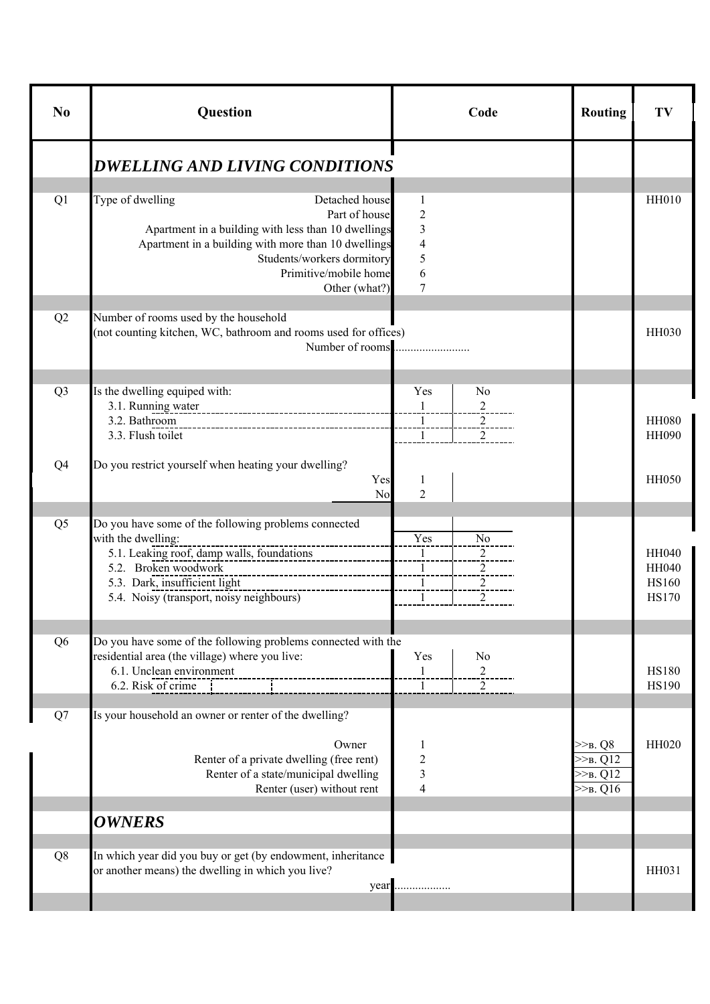| N <sub>0</sub> | Question                                                                                                                                                                                                                                  | Code                                                                                                                          | <b>Routing</b>                                          | TV                                                           |
|----------------|-------------------------------------------------------------------------------------------------------------------------------------------------------------------------------------------------------------------------------------------|-------------------------------------------------------------------------------------------------------------------------------|---------------------------------------------------------|--------------------------------------------------------------|
|                | <b>DWELLING AND LIVING CONDITIONS</b>                                                                                                                                                                                                     |                                                                                                                               |                                                         |                                                              |
| Q1             | Type of dwelling<br>Detached house<br>Part of house<br>Apartment in a building with less than 10 dwellings<br>Apartment in a building with more than 10 dwellings<br>Students/workers dormitory<br>Primitive/mobile home<br>Other (what?) | 1<br>2<br>3<br>4<br>5<br>6<br>7                                                                                               |                                                         | <b>HH010</b>                                                 |
| Q2             | Number of rooms used by the household<br>(not counting kitchen, WC, bathroom and rooms used for offices)<br>Number of rooms                                                                                                               |                                                                                                                               |                                                         | HH030                                                        |
| Q <sub>3</sub> | Is the dwelling equiped with:<br>3.1. Running water<br>3.2. Bathroom<br>3.3. Flush toilet                                                                                                                                                 | Yes<br>N <sub>0</sub><br>$\mathbf{1}$<br>$\overline{2}$<br>$\overline{1}$<br>$\overline{2}$<br>$\mathbf{1}$<br>$\overline{2}$ |                                                         | <b>HH080</b><br><b>HH090</b>                                 |
| Q4             | Do you restrict yourself when heating your dwelling?<br>Yes<br>No                                                                                                                                                                         | 1<br>$\overline{2}$                                                                                                           |                                                         | <b>HH050</b>                                                 |
| Q <sub>5</sub> | Do you have some of the following problems connected<br>with the dwelling:<br>5.1. Leaking roof, damp walls, foundations<br>5.2. Broken woodwork<br>5.3. Dark, insufficient light<br>5.4. Noisy (transport, noisy neighbours)             | Yes<br>N <sub>0</sub><br>$\mathbf{1}$<br>$\overline{c}$<br>2<br>$\frac{1}{2}$<br>$\perp$<br>2<br>$\mathbf{1}$<br>2            |                                                         | <b>HH040</b><br><b>HH040</b><br><b>HS160</b><br><b>HS170</b> |
| Q <sub>6</sub> | Do you have some of the following problems connected with the<br>residential area (the village) where you live:<br>6.1. Unclean environment<br>6.2. Risk of crime                                                                         | Yes<br>N <sub>0</sub><br>$\overline{c}$<br>1<br>$\mathbf{1}$<br>2                                                             |                                                         | <b>HS180</b><br><b>HS190</b>                                 |
| Q7             | Is your household an owner or renter of the dwelling?<br>Owner<br>Renter of a private dwelling (free rent)<br>Renter of a state/municipal dwelling<br>Renter (user) without rent                                                          | 1<br>$\overline{c}$<br>3<br>$\overline{4}$                                                                                    | $>>B$ . Q8<br>$>>B$ , Q12<br>$>>B$ , Q12<br>$>>$ B. Q16 | HH020                                                        |
|                | <b>OWNERS</b>                                                                                                                                                                                                                             |                                                                                                                               |                                                         |                                                              |
| Q8             | In which year did you buy or get (by endowment, inheritance<br>or another means) the dwelling in which you live?<br>year                                                                                                                  |                                                                                                                               |                                                         | HH031                                                        |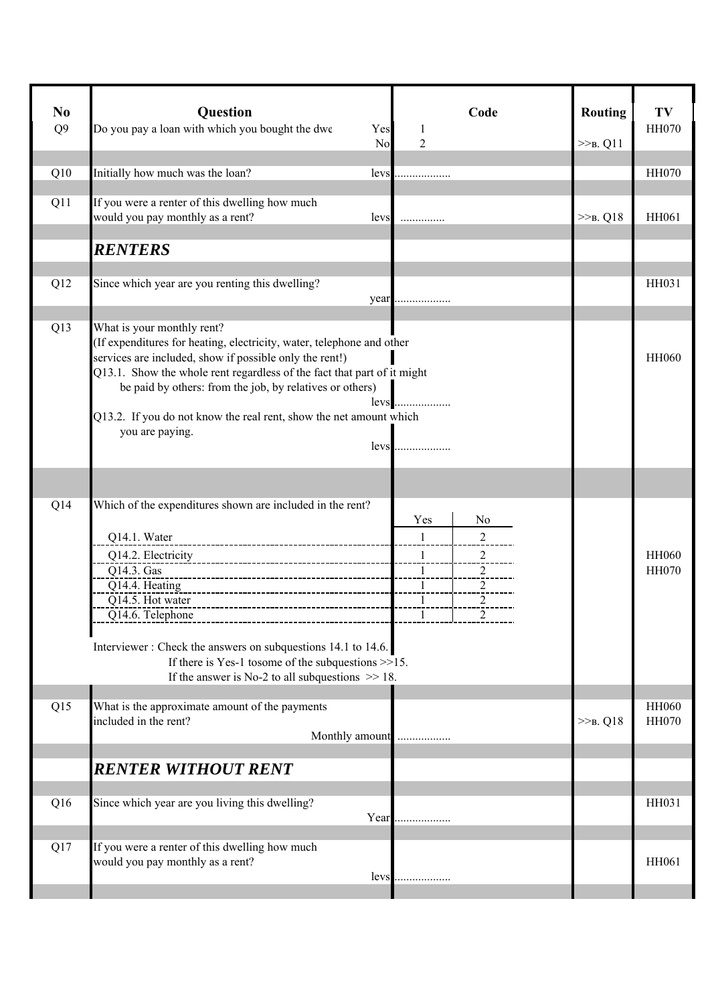| N <sub>0</sub><br>Q <sub>9</sub> | Question<br>Do you pay a loan with which you bought the dwe<br>Yes<br>No                                                                                                                                                                                                                                                                                                                               | Code<br>1<br>$\overline{2}$                                                                                                                  | <b>Routing</b><br>$>>B$ . Q11 | TV<br><b>HH070</b>           |
|----------------------------------|--------------------------------------------------------------------------------------------------------------------------------------------------------------------------------------------------------------------------------------------------------------------------------------------------------------------------------------------------------------------------------------------------------|----------------------------------------------------------------------------------------------------------------------------------------------|-------------------------------|------------------------------|
| Q10                              | Initially how much was the loan?<br>levs                                                                                                                                                                                                                                                                                                                                                               |                                                                                                                                              |                               | <b>HH070</b>                 |
| Q11                              | If you were a renter of this dwelling how much<br>would you pay monthly as a rent?<br>levs                                                                                                                                                                                                                                                                                                             | .                                                                                                                                            | $>>B$ . Q18                   | HH061                        |
|                                  | <b>RENTERS</b>                                                                                                                                                                                                                                                                                                                                                                                         |                                                                                                                                              |                               |                              |
| Q12                              | Since which year are you renting this dwelling?                                                                                                                                                                                                                                                                                                                                                        | year                                                                                                                                         |                               | HH031                        |
| Q13                              | What is your monthly rent?<br>(If expenditures for heating, electricity, water, telephone and other<br>services are included, show if possible only the rent!)<br>Q13.1. Show the whole rent regardless of the fact that part of it might<br>be paid by others: from the job, by relatives or others)<br>levs<br>Q13.2. If you do not know the real rent, show the net amount which<br>you are paying. |                                                                                                                                              |                               | <b>HH060</b>                 |
|                                  |                                                                                                                                                                                                                                                                                                                                                                                                        |                                                                                                                                              |                               |                              |
|                                  |                                                                                                                                                                                                                                                                                                                                                                                                        |                                                                                                                                              |                               |                              |
| Q14                              | Which of the expenditures shown are included in the rent?<br>Q14.1. Water<br>Q14.2. Electricity<br>Q14.3. Gas<br>Q14.4. Heating<br>Q14.5. Hot water<br>Q14.6. Telephone                                                                                                                                                                                                                                | N <sub>o</sub><br>Yes<br>$\mathbf{1}$<br>2<br>$\mathbf{1}$<br>2<br>$\overline{2}$<br>$\mathbf{1}$<br>1<br>2<br>$\overline{2}$<br>1<br>$^{2}$ |                               | <b>HH060</b><br><b>HH070</b> |
|                                  | Interviewer: Check the answers on subquestions 14.1 to 14.6.<br>If there is Yes-1 to<br>some of the subquestions $>>15$ .<br>If the answer is No-2 to all subquestions $\gg$ 18.                                                                                                                                                                                                                       |                                                                                                                                              |                               |                              |
| Q15                              | What is the approximate amount of the payments<br>included in the rent?<br>Monthly amount                                                                                                                                                                                                                                                                                                              |                                                                                                                                              | $>>B$ , Q18                   | HH060<br><b>HH070</b>        |
|                                  | <b>RENTER WITHOUT RENT</b>                                                                                                                                                                                                                                                                                                                                                                             |                                                                                                                                              |                               |                              |
| Q16                              | Since which year are you living this dwelling?<br>Year                                                                                                                                                                                                                                                                                                                                                 |                                                                                                                                              |                               | HH031                        |
| Q17                              | If you were a renter of this dwelling how much<br>would you pay monthly as a rent?<br>levs                                                                                                                                                                                                                                                                                                             |                                                                                                                                              |                               | HH061                        |
|                                  |                                                                                                                                                                                                                                                                                                                                                                                                        |                                                                                                                                              |                               |                              |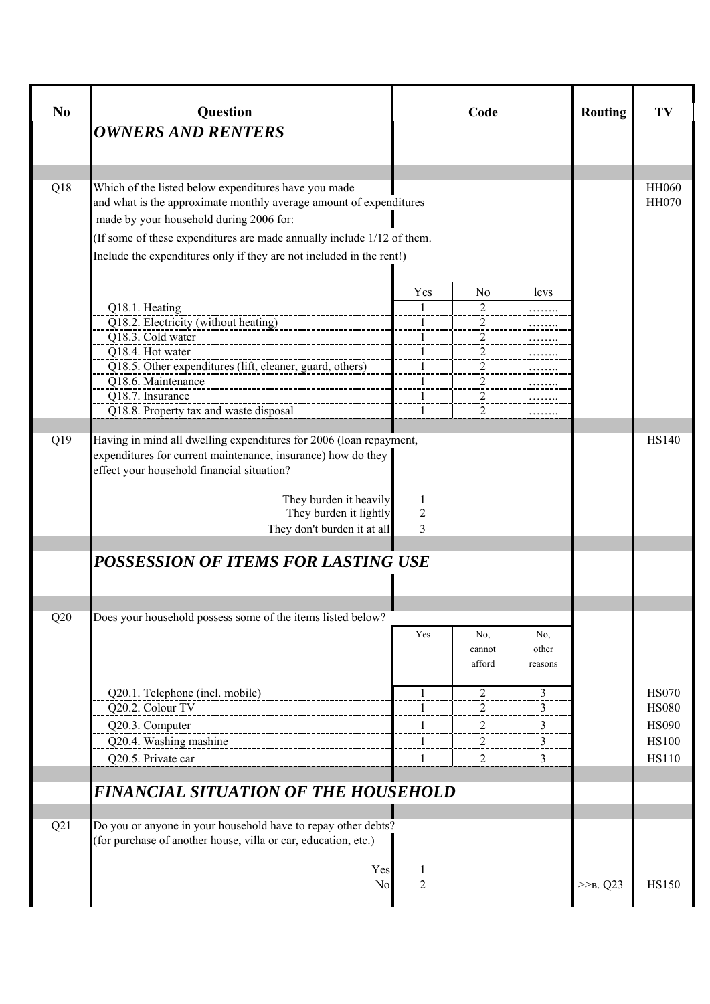| N <sub>0</sub> | Question<br><b>OWNERS AND RENTERS</b>                                                                                                                                                                                                                               |                                                                      | Code                                                                      |                         | <b>Routing</b> | TV                                                                           |
|----------------|---------------------------------------------------------------------------------------------------------------------------------------------------------------------------------------------------------------------------------------------------------------------|----------------------------------------------------------------------|---------------------------------------------------------------------------|-------------------------|----------------|------------------------------------------------------------------------------|
| Q18            | Which of the listed below expenditures have you made                                                                                                                                                                                                                |                                                                      |                                                                           |                         |                | <b>HH060</b>                                                                 |
|                | and what is the approximate monthly average amount of expenditures<br>made by your household during 2006 for:                                                                                                                                                       |                                                                      |                                                                           |                         |                | <b>HH070</b>                                                                 |
|                | (If some of these expenditures are made annually include 1/12 of them.<br>Include the expenditures only if they are not included in the rent!)                                                                                                                      |                                                                      |                                                                           |                         |                |                                                                              |
|                |                                                                                                                                                                                                                                                                     | Yes                                                                  | No                                                                        | levs                    |                |                                                                              |
|                | Q18.1. Heating<br>Q18.2. Electricity (without heating)<br>Q18.3. Cold water<br>O18.4. Hot water<br>Q18.5. Other expenditures (lift, cleaner, guard, others)                                                                                                         | $\overline{1}$<br>$\mathbf{1}$<br>-1<br>$\mathbf{1}$<br>$\mathbf{1}$ | 2<br>$\overline{2}$<br>2<br>$\overline{2}$<br>$\overline{2}$              |                         |                |                                                                              |
|                | Q18.6. Maintenance<br>Q18.7. Insurance<br>Q18.8. Property tax and waste disposal                                                                                                                                                                                    | 1<br>$\mathbf{1}$<br>$\mathbf{1}$                                    | $\overline{2}$<br>$\overline{2}$<br>$\overline{2}$                        |                         |                |                                                                              |
| Q19            | Having in mind all dwelling expenditures for 2006 (loan repayment,<br>expenditures for current maintenance, insurance) how do they<br>effect your household financial situation?<br>They burden it heavily<br>They burden it lightly<br>They don't burden it at all | 1<br>$\overline{2}$<br>3                                             |                                                                           |                         |                | <b>HS140</b>                                                                 |
|                | POSSESSION OF ITEMS FOR LASTING USE                                                                                                                                                                                                                                 |                                                                      |                                                                           |                         |                |                                                                              |
| Q20            | Does your household possess some of the items listed below?                                                                                                                                                                                                         |                                                                      |                                                                           |                         |                |                                                                              |
|                |                                                                                                                                                                                                                                                                     | Yes                                                                  | No,<br>cannot<br>afford                                                   | No,<br>other<br>reasons |                |                                                                              |
|                | Q20.1. Telephone (incl. mobile)<br>Q20.2. Colour TV<br>. ___________________<br>Q20.3. Computer<br>Q20.4. Washing mashine<br>Q20.5. Private car                                                                                                                     | 1<br>1<br>1<br>$\mathbf{1}$<br>1                                     | $\overline{2}$<br>$\overline{c}$<br>$\overline{2}$<br>$\overline{2}$<br>2 | 3<br>3<br>3<br>3<br>3   |                | <b>HS070</b><br><b>HS080</b><br><b>HS090</b><br><b>HS100</b><br><b>HS110</b> |
|                | <b>FINANCIAL SITUATION OF THE HOUSEHOLD</b>                                                                                                                                                                                                                         |                                                                      |                                                                           |                         |                |                                                                              |
| Q21            | Do you or anyone in your household have to repay other debts?<br>(for purchase of another house, villa or car, education, etc.)                                                                                                                                     |                                                                      |                                                                           |                         |                |                                                                              |
|                | Yes<br>N <sub>o</sub>                                                                                                                                                                                                                                               | 1<br>$\overline{c}$                                                  |                                                                           |                         | $>>_{B}$ . Q23 | <b>HS150</b>                                                                 |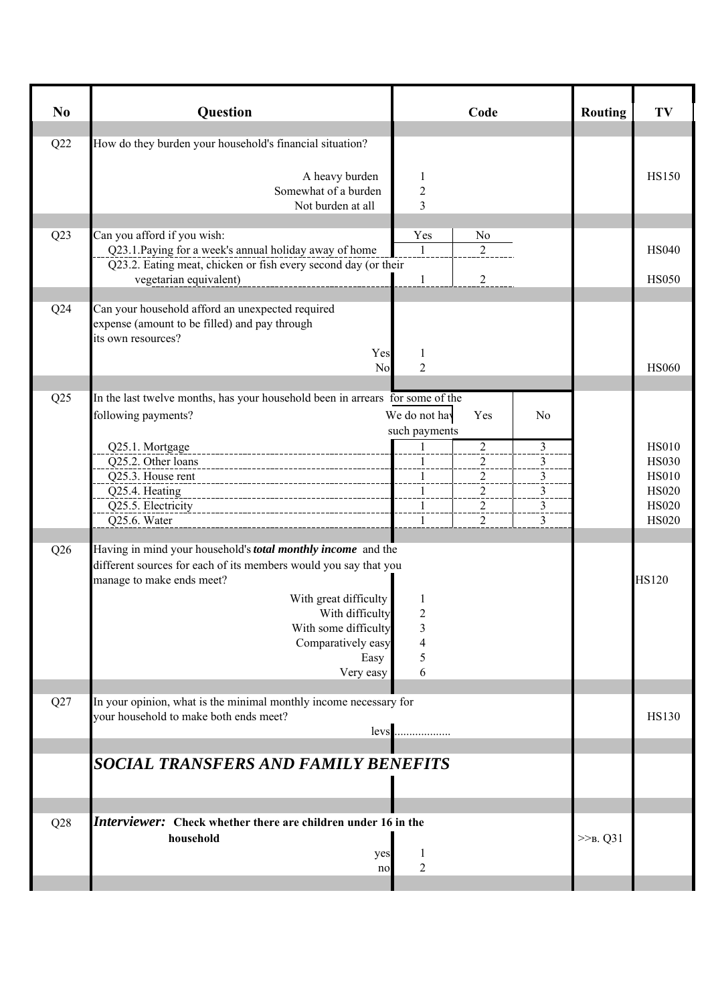| No  | Question                                                                                             | Code                                                              | <b>Routing</b> | TV                           |
|-----|------------------------------------------------------------------------------------------------------|-------------------------------------------------------------------|----------------|------------------------------|
| Q22 | How do they burden your household's financial situation?                                             |                                                                   |                |                              |
|     | A heavy burden<br>Somewhat of a burden                                                               | 1<br>$\overline{c}$                                               |                | <b>HS150</b>                 |
|     | Not burden at all                                                                                    | $\overline{\mathbf{3}}$                                           |                |                              |
| Q23 | Can you afford if you wish:<br>Q23.1. Paying for a week's annual holiday away of home                | Yes<br>N <sub>0</sub><br>$\overline{2}$<br>-1                     |                | <b>HS040</b>                 |
|     | Q23.2. Eating meat, chicken or fish every second day (or their                                       |                                                                   |                | <b>HS050</b>                 |
|     | vegetarian equivalent)                                                                               | $\overline{2}$<br>$\mathbf{1}$                                    |                |                              |
| Q24 | Can your household afford an unexpected required<br>expense (amount to be filled) and pay through    |                                                                   |                |                              |
|     | its own resources?<br>Yes                                                                            | 1                                                                 |                |                              |
|     | No                                                                                                   | $\overline{2}$                                                    |                | <b>HS060</b>                 |
| Q25 | In the last twelve months, has your household been in arrears for some of the<br>following payments? | We do not hav<br>Yes<br>N <sub>0</sub>                            |                |                              |
|     |                                                                                                      | such payments                                                     |                |                              |
|     | Q25.1. Mortgage<br>Q25.2. Other loans                                                                | $\overline{2}$<br>3<br>1<br>$\overline{2}$<br>3<br>$\mathbf{1}$   |                | <b>HS010</b><br><b>HS030</b> |
|     | Q25.3. House rent<br>-------------------------------                                                 | $\frac{3}{2}$<br>$\overline{a}$<br>1                              |                | <b>HS010</b>                 |
|     | Q25.4. Heating<br>Q25.5. Electricity                                                                 | $\overline{a}$<br>$\frac{3}{2}$<br>$\overline{1}$<br>$\mathbf{1}$ |                | <b>HS020</b><br><b>HS020</b> |
|     | ----------------------------<br>Q25.6. Water                                                         | $\overline{a}$<br>$\overline{\mathbf{3}}$<br>2<br>3<br>1          |                | <b>HS020</b>                 |
| Q26 | Having in mind your household's <i>total monthly income</i> and the                                  |                                                                   |                |                              |
|     | different sources for each of its members would you say that you                                     |                                                                   |                |                              |
|     | manage to make ends meet?<br>With great difficulty                                                   |                                                                   |                | <b>HS120</b>                 |
|     | With difficulty                                                                                      | $\overline{c}$                                                    |                |                              |
|     | With some difficulty                                                                                 | 3                                                                 |                |                              |
|     | Comparatively easy                                                                                   |                                                                   |                |                              |
|     | Easy<br>Very easy                                                                                    | 5<br>6                                                            |                |                              |
| Q27 | In your opinion, what is the minimal monthly income necessary for                                    |                                                                   |                |                              |
|     | your household to make both ends meet?                                                               |                                                                   |                | <b>HS130</b>                 |
|     |                                                                                                      | levs                                                              |                |                              |
|     | <b>SOCIAL TRANSFERS AND FAMILY BENEFITS</b>                                                          |                                                                   |                |                              |
|     |                                                                                                      |                                                                   |                |                              |
| Q28 | <i>Interviewer:</i> Check whether there are children under 16 in the                                 |                                                                   |                |                              |
|     | household                                                                                            |                                                                   | $>>_{B} Q31$   |                              |
|     | yes                                                                                                  | 1                                                                 |                |                              |
|     | no                                                                                                   | 2                                                                 |                |                              |
|     |                                                                                                      |                                                                   |                |                              |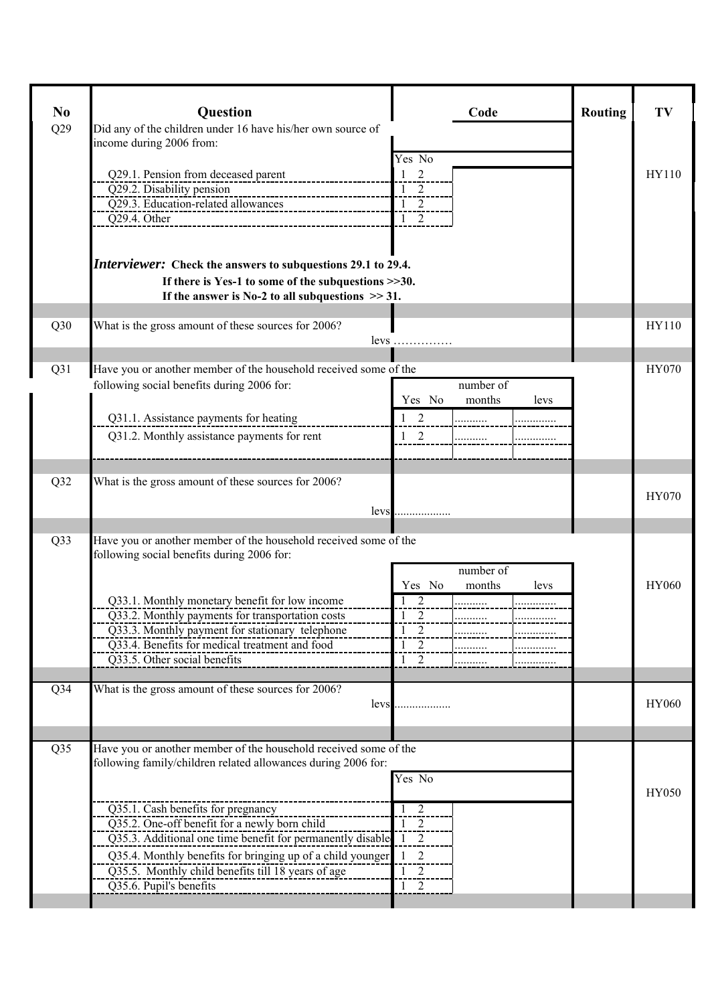| N <sub>0</sub>  | <b>Question</b>                                                                                                                                                                                                                                                                                                                                                                                                                           |                                                                                        | Code                             | <b>Routing</b> | TV           |
|-----------------|-------------------------------------------------------------------------------------------------------------------------------------------------------------------------------------------------------------------------------------------------------------------------------------------------------------------------------------------------------------------------------------------------------------------------------------------|----------------------------------------------------------------------------------------|----------------------------------|----------------|--------------|
| Q29             | Did any of the children under 16 have his/her own source of<br>income during 2006 from:                                                                                                                                                                                                                                                                                                                                                   |                                                                                        |                                  |                |              |
|                 | Q29.1. Pension from deceased parent<br>Q29.2. Disability pension<br>Q29.2. Disability pension<br>Q29.3. Education-related allowances<br>Q29.4. Other<br>________________________                                                                                                                                                                                                                                                          | Yes No<br>2<br>$\mathbf{1}$<br>$\frac{1}{1}$ 2<br>$\frac{1}{1}$ 2<br>$\frac{1}{1}$ 2   |                                  |                | HY110        |
|                 | <i>Interviewer:</i> Check the answers to subquestions 29.1 to 29.4.<br>If there is Yes-1 to some of the subquestions $>>30$ .<br>If the answer is No-2 to all subquestions $\gg$ 31.                                                                                                                                                                                                                                                      |                                                                                        |                                  |                |              |
| Q30             | What is the gross amount of these sources for 2006?                                                                                                                                                                                                                                                                                                                                                                                       | less                                                                                   |                                  |                | HY110        |
| Q31             | Have you or another member of the household received some of the<br>following social benefits during 2006 for:<br>Q31.1. Assistance payments for heating<br>Q31.2. Monthly assistance payments for rent                                                                                                                                                                                                                                   | Yes No<br>$1\quad 2$<br>$1\quad 2$                                                     | number of<br>months<br>levs<br>. |                | HY070        |
| Q32             | What is the gross amount of these sources for 2006?<br>levs                                                                                                                                                                                                                                                                                                                                                                               | .                                                                                      |                                  |                | HY070        |
| Q33             | Have you or another member of the household received some of the<br>following social benefits during 2006 for:                                                                                                                                                                                                                                                                                                                            |                                                                                        | number of                        |                |              |
|                 | Q33.1. Monthly monetary benefit for low income<br>Q33.2. Monthly payments for transportation costs<br>Q33.3. Monthly payment for stationary telephone<br>Q33.4. Benefits for medical treatment and food<br>Q33.5. Other social benefits                                                                                                                                                                                                   | Yes No<br>2<br>2<br>$\overline{1}$<br>$1\quad 2$<br>$1\quad 2$<br>$1\quad 2$           | months<br>levs                   |                | <b>HY060</b> |
| Q <sub>34</sub> | What is the gross amount of these sources for 2006?<br>levs                                                                                                                                                                                                                                                                                                                                                                               |                                                                                        |                                  |                | <b>HY060</b> |
| Q35             | Have you or another member of the household received some of the<br>following family/children related allowances during 2006 for:<br>Q35.1. Cash benefits for pregnancy<br>Q35.2. One-off benefit for a newly born child<br>Q35.3. Additional one time benefit for permanently disable 1 2<br>Q35.4. Monthly benefits for bringing up of a child younger<br>Q35.5. Monthly child benefits till 18 years of age<br>Q35.6. Pupil's benefits | Yes No<br>$1\quad 2$<br>$1\quad 2$<br>$\overline{2}$<br>1<br>$^{2}$<br>1<br>$1\quad 2$ |                                  |                | HY050        |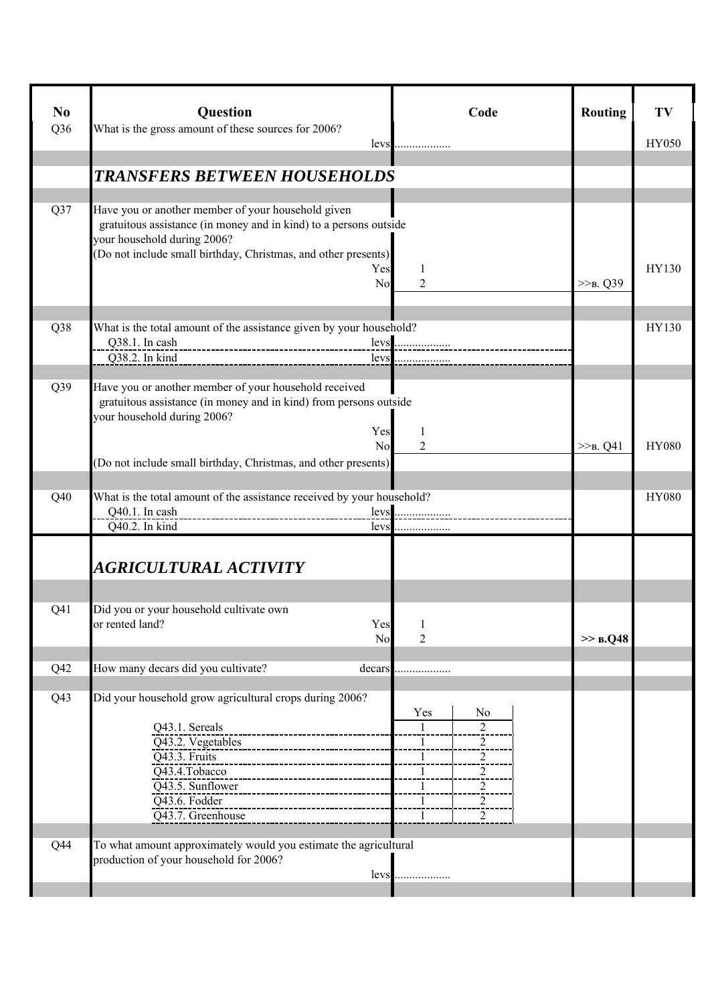| N <sub>0</sub><br>Q36 | Question<br>What is the gross amount of these sources for 2006?<br>levs                                                                                                                                                                              | Code                                                                                                                                                             | <b>Routing</b> | TV<br><b>HY050</b> |
|-----------------------|------------------------------------------------------------------------------------------------------------------------------------------------------------------------------------------------------------------------------------------------------|------------------------------------------------------------------------------------------------------------------------------------------------------------------|----------------|--------------------|
|                       | <b>TRANSFERS BETWEEN HOUSEHOLDS</b>                                                                                                                                                                                                                  |                                                                                                                                                                  |                |                    |
| Q37                   | Have you or another member of your household given<br>gratuitous assistance (in money and in kind) to a persons outside<br>your household during 2006?<br>(Do not include small birthday, Christmas, and other presents)<br>Yes<br>N <sub>0</sub>    | 1<br>2                                                                                                                                                           | $>>_{B} Q39$   | HY130              |
| Q38                   | What is the total amount of the assistance given by your household?<br>Q38.1. In cash<br>--------------------------------------<br>Q38.2. In kind<br>levs                                                                                            |                                                                                                                                                                  |                | HY130              |
| Q39                   | Have you or another member of your household received<br>gratuitous assistance (in money and in kind) from persons outside<br>your household during 2006?<br>Yes<br>N <sub>0</sub><br>(Do not include small birthday, Christmas, and other presents) | 1<br>2                                                                                                                                                           | $>>_{B}$ . Q41 | <b>HY080</b>       |
| Q40                   | What is the total amount of the assistance received by your household?<br>Q40.1. In cash<br>Q40.2. In kind<br>levs                                                                                                                                   | .                                                                                                                                                                |                | <b>HY080</b>       |
|                       | AGRICULTURAL ACTIVITY                                                                                                                                                                                                                                |                                                                                                                                                                  |                |                    |
| Q <sub>41</sub>       | Did you or your household cultivate own<br>or rented land?<br>Yes<br>No                                                                                                                                                                              | -1<br>2                                                                                                                                                          | $\gg$ B.Q48    |                    |
| Q42                   | How many decars did you cultivate?<br>decars                                                                                                                                                                                                         |                                                                                                                                                                  |                |                    |
| Q <sub>43</sub>       | Did your household grow agricultural crops during 2006?<br>Q43.1. Sereals<br>Q43.2. Vegetables<br>Q43.3. Fruits<br>Q43.4.Tobacco<br>Q43.5. Sunflower<br>Q43.6. Fodder<br>Q43.7. Greenhouse                                                           | Yes<br>N <sub>0</sub><br>$\mathbf{1}$<br>$\overline{2}$<br>$\overline{2}$<br>1<br>$\overline{a}$<br>$\overline{a}$<br>$\overline{2}$<br>$\overline{c}$<br>2<br>1 |                |                    |
| Q44                   | To what amount approximately would you estimate the agricultural<br>production of your household for 2006?<br>levs                                                                                                                                   |                                                                                                                                                                  |                |                    |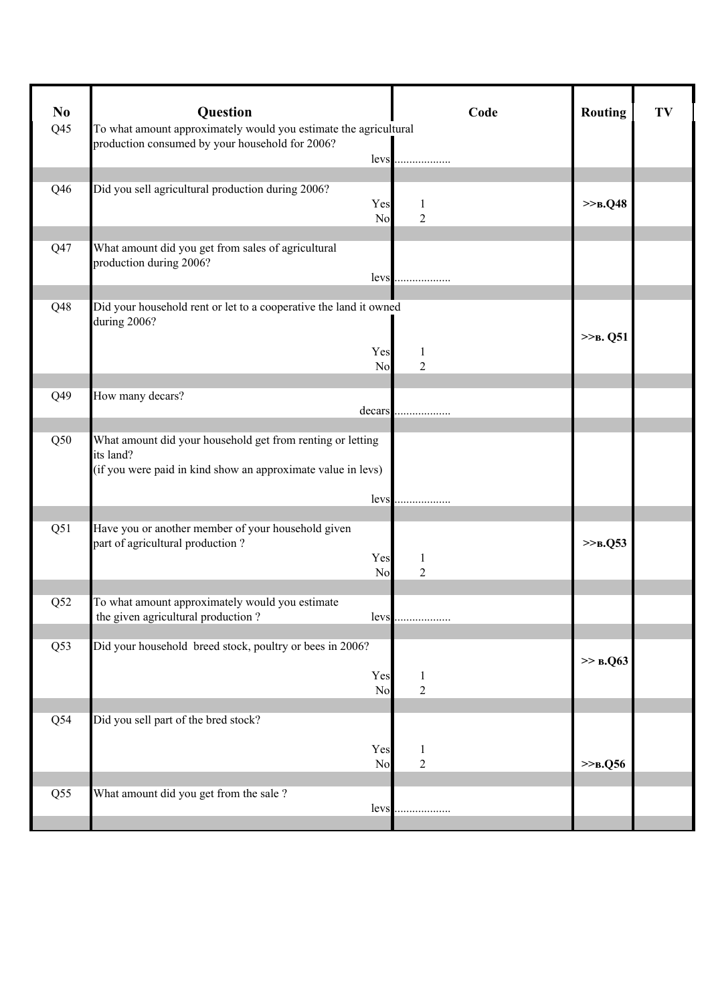| N <sub>0</sub><br>Q <sub>45</sub> | Question<br>To what amount approximately would you estimate the agricultural                                                                    | Code                | <b>Routing</b>   | TV |
|-----------------------------------|-------------------------------------------------------------------------------------------------------------------------------------------------|---------------------|------------------|----|
|                                   | production consumed by your household for 2006?<br>levs                                                                                         |                     |                  |    |
| Q46                               | Did you sell agricultural production during 2006?<br>Yes<br>No                                                                                  | 1<br>$\overline{2}$ | >> <b>B</b> .Q48 |    |
| Q47                               | What amount did you get from sales of agricultural<br>production during 2006?<br>levs                                                           |                     |                  |    |
| Q48                               | Did your household rent or let to a cooperative the land it owned<br>during 2006?<br>Yes<br>No                                                  | 1<br>$\overline{2}$ | $>>B$ . Q51      |    |
| Q49                               | How many decars?<br>decars                                                                                                                      |                     |                  |    |
| Q50                               | What amount did your household get from renting or letting<br>its land?<br>(if you were paid in kind show an approximate value in levs)<br>levs |                     |                  |    |
| Q51                               | Have you or another member of your household given<br>part of agricultural production?<br>Yes<br>No                                             | $\overline{2}$      | $>>B$ .Q53       |    |
| Q52                               | To what amount approximately would you estimate<br>the given agricultural production?<br>levs                                                   |                     |                  |    |
| Q53                               | Did your household breed stock, poultry or bees in 2006?<br>Yes<br>N <sub>o</sub>                                                               | 1<br>$\overline{c}$ | >> B.Q63         |    |
| Q54                               | Did you sell part of the bred stock?<br>Yes<br>No                                                                                               | 1<br>$\overline{2}$ | >> B. Q56        |    |
| Q55                               | What amount did you get from the sale?<br>levs                                                                                                  |                     |                  |    |